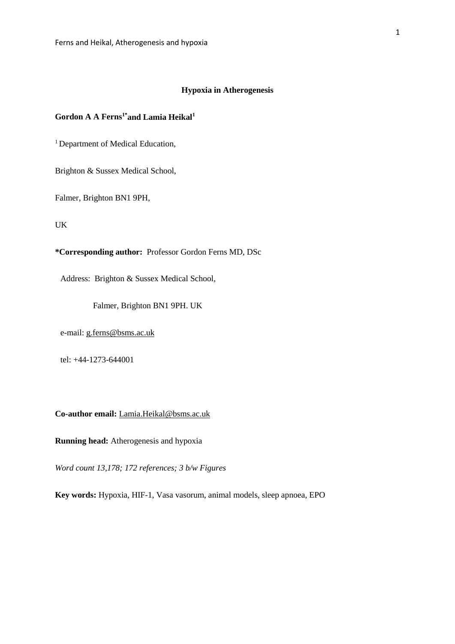# **Hypoxia in Atherogenesis**

# Gordon A A Ferns<sup>1\*</sup>and Lamia Heikal<sup>1</sup>

<sup>1</sup> Department of Medical Education,

Brighton & Sussex Medical School,

Falmer, Brighton BN1 9PH,

UK

**\*Corresponding author:** Professor Gordon Ferns MD, DSc

Address: Brighton & Sussex Medical School,

Falmer, Brighton BN1 9PH. UK

e-mail: [g.ferns@bsms.ac.uk](mailto:g.ferns@bsms.ac.uk)

tel: +44-1273-644001

**Co-author email:** [Lamia.Heikal@bsms.ac.uk](mailto:Lamia.Heikal@bsms.ac.uk)

**Running head:** Atherogenesis and hypoxia

*Word count 13,178; 172 references; 3 b/w Figures*

**Key words:** Hypoxia, HIF-1, Vasa vasorum, animal models, sleep apnoea, EPO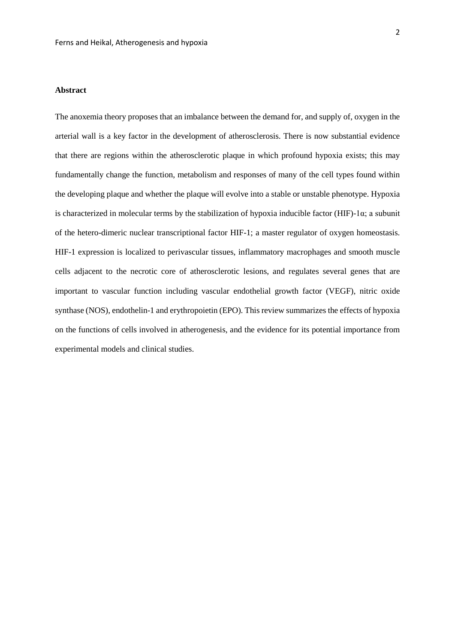### **Abstract**

The anoxemia theory proposes that an imbalance between the demand for, and supply of, oxygen in the arterial wall is a key factor in the development of atherosclerosis. There is now substantial evidence that there are regions within the atherosclerotic plaque in which profound hypoxia exists; this may fundamentally change the function, metabolism and responses of many of the cell types found within the developing plaque and whether the plaque will evolve into a stable or unstable phenotype. Hypoxia is characterized in molecular terms by the stabilization of hypoxia inducible factor (HIF)-1 $\alpha$ ; a subunit of the hetero-dimeric nuclear transcriptional factor HIF-1; a master regulator of oxygen homeostasis. HIF-1 expression is localized to perivascular tissues, inflammatory macrophages and smooth muscle cells adjacent to the necrotic core of atherosclerotic lesions, and regulates several genes that are important to vascular function including vascular endothelial growth factor (VEGF), nitric oxide synthase (NOS), endothelin-1 and erythropoietin (EPO). This review summarizes the effects of hypoxia on the functions of cells involved in atherogenesis, and the evidence for its potential importance from experimental models and clinical studies.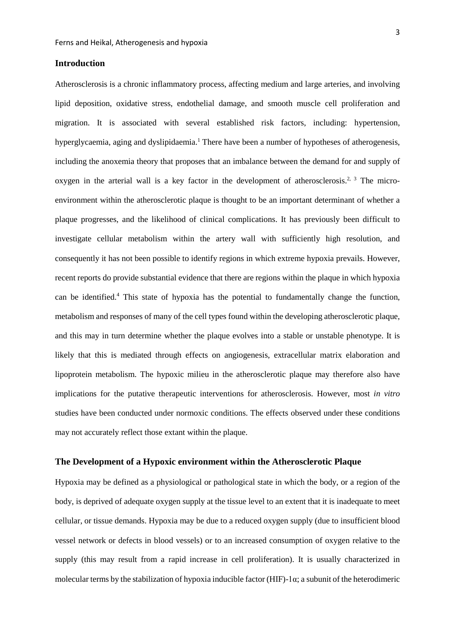# **Introduction**

Atherosclerosis is a chronic inflammatory process, affecting medium and large arteries, and involving lipid deposition, oxidative stress, endothelial damage, and smooth muscle cell proliferation and migration. It is associated with several established risk factors, including: hypertension, hyperglycaemia, aging and dyslipidaemia[.](#page-40-0) <sup>1</sup> There have been a number of hypotheses of atherogenesis, including the anoxemia theory that proposes that an imbalance between the demand for and supply of oxygen in the arterial wall is a key factor in the development of atherosclerosis.<sup>[2,](#page-40-1) [3](#page-40-2)</sup> The microenvironment within the atherosclerotic plaque is thought to be an important determinant of whether a plaque progresses, and the likelihood of clinical complications. It has previously been difficult to investigate cellular metabolism within the artery wall with sufficiently high resolution, and consequently it has not been possible to identify regions in which extreme hypoxia prevails. However, recent reports do provide substantial evidence that there are regions within the plaque in which hypoxia can be identifie[d.](#page-40-3) <sup>4</sup> This state of hypoxia has the potential to fundamentally change the function, metabolism and responses of many of the cell types found within the developing atherosclerotic plaque, and this may in turn determine whether the plaque evolves into a stable or unstable phenotype. It is likely that this is mediated through effects on angiogenesis, extracellular matrix elaboration and lipoprotein metabolism. The hypoxic milieu in the atherosclerotic plaque may therefore also have implications for the putative therapeutic interventions for atherosclerosis. However, most *in vitro* studies have been conducted under normoxic conditions. The effects observed under these conditions may not accurately reflect those extant within the plaque.

### **The Development of a Hypoxic environment within the Atherosclerotic Plaque**

Hypoxia may be defined as a physiological or pathological state in which the body, or a region of the body, is deprived of adequate [oxygen](https://en.wikipedia.org/wiki/Oxygen) supply at the tissue level to an extent that it is inadequate to meet cellular, or tissue demands. Hypoxia may be due to a reduced oxygen supply (due to insufficient blood vessel network or defects in blood vessels) or to an increased consumption of oxygen relative to the supply (this may result from a rapid increase in cell proliferation). It is usually characterized in molecular terms by the stabilization of hypoxia inducible factor  $(HIF)$ -1 $\alpha$ ; a subunit of the heterodimeric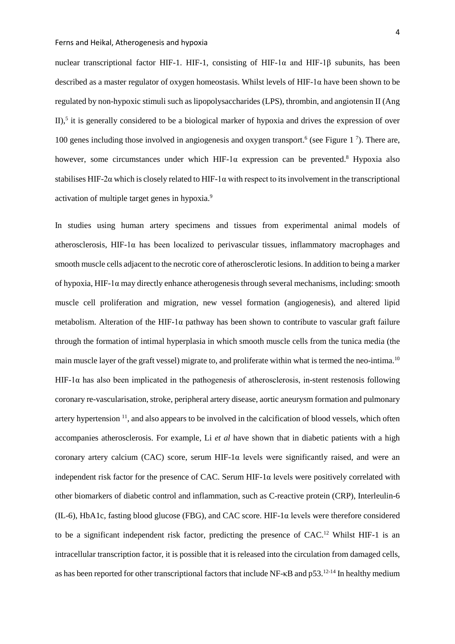nuclear transcriptional factor HIF-1. HIF-1, consisting of HIF-1α and HIF-1β subunits, has been described as a master regulator of oxygen homeostasis. Whilst levels of HIF-1 $\alpha$  have been shown to be regulated by non-hypoxic stimuli such as lipopolysaccharides (LPS), thrombin, and angiotensin II (Ang II)[,](#page-40-4)<sup>5</sup> it is generally considered to be a biological marker of hypoxia and drives the expression of over 100 genes including those involved in angiogenesis and oxygen transport[.](#page-40-5)<sup>6</sup> (see Figure 1<sup>[7](#page-40-6)</sup>). There are, however, some circumstances under which HIF-1 $\alpha$  expression can be prevented.<sup>8</sup> Hypoxia also stabilises HIF-2α which is closely related to HIF-1α with respect to its involvement in the transcriptional activation of multiple target genes in hypoxia[.9](#page-40-8)

In studies using human artery specimens and tissues from experimental animal models of atherosclerosis, HIF-1 $\alpha$  has been localized to perivascular tissues, inflammatory macrophages and smooth muscle cells adjacent to the necrotic core of atherosclerotic lesions. In addition to being a marker of hypoxia,  $HIF-1\alpha$  may directly enhance atherogenesis through several mechanisms, including: smooth muscle cell proliferation and migration, new vessel formation (angiogenesis), and altered lipid metabolism. Alteration of the HIF-1α pathway has been shown to contribute to vascular graft failure through the formation of intimal hyperplasia in which smooth muscle cells from the tunica media (the main muscle layer of the graft vessel) migrate to, and proliferate within what is termed the neo-intima.<sup>10</sup> HIF-1 $\alpha$  has also been implicated in the pathogenesis of atherosclerosis, in-stent restenosis following coronary re-vascularisation, stroke, peripheral artery disease, aortic aneurysm formation and pulmonary artery hypertension  $11$ , and also appears to be involved in the calcification of blood vessels, which often accompanies atherosclerosis. For example, Li *et al* have shown that in diabetic patients with a high coronary artery calcium (CAC) score, serum HIF-1 $\alpha$  levels were significantly raised, and were an independent risk factor for the presence of CAC. Serum HIF-1 $\alpha$  levels were positively correlated with other biomarkers of diabetic control and inflammation, such as C-reactive protein (CRP), Interleulin-6 (IL-6), HbA1c, fasting blood glucose (FBG), and CAC score. HIF-1α levels were therefore considered to be a significant independent risk factor, predicting the presence of CAC.<sup>12</sup> Whilst HIF-1 is an intracellular transcription factor, it is possible that it is released into the circulation from damaged cells, as has been reported for other transcriptional factors that include NF-κB and p53[.12-14](#page-41-1) In healthy medium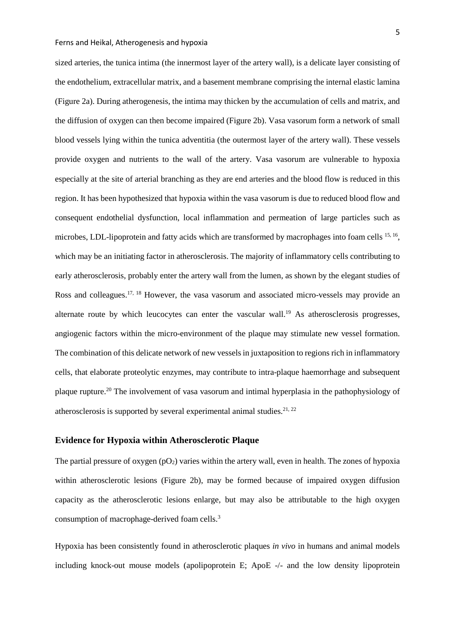sized arteries, the tunica intima (the innermost layer of the artery wall), is a delicate layer consisting of the endothelium, extracellular matrix, and a basement membrane comprising the internal elastic lamina (Figure 2a). During atherogenesis, the intima may thicken by the accumulation of cells and matrix, and the diffusion of oxygen can then become impaired (Figure 2b). Vasa vasorum form a network of small blood vessels lying within the tunica adventitia (the outermost layer of the artery wall). These vessels provide oxygen and nutrients to the wall of the artery. Vasa vasorum are vulnerable to hypoxia especially at the site of arterial branching as they are end arteries and the blood flow is reduced in this region. It has been hypothesized that hypoxia within the vasa vasorum is due to reduced blood flow and consequent endothelial dysfunction, local inflammation and permeation of large particles such as microbes, LDL-lipoprotein and fatty acids which are transformed by macrophages into foam cells <sup>[15,](#page-41-2) 16</sup>, which may be an initiating factor in atherosclerosis. The majority of inflammatory cells contributing to early atherosclerosis, probably enter the artery wall from the lumen, as shown by the elegant studies of Ross and colleagues.<sup>17, [18](#page-41-5)</sup> However, the vasa vasorum and associated micro-vessels may provide an alternate route by which leucocytes can enter the vascular wall.<sup>19</sup> As atherosclerosis progresses, angiogenic factors within the micro-environment of the plaque may stimulate new vessel formation. The combination of this delicate network of new vessels in juxtaposition to regions rich in inflammatory cells, that elaborate proteolytic enzymes, may contribute to intra-plaque haemorrhage and subsequent plaque rupture[.20](#page-41-7) The involvement of vasa vasorum and intimal hyperplasia in the pathophysiology of atherosclerosis is supported by several experimental animal studies. $2^{1,22}$ 

# **Evidence for Hypoxia within Atherosclerotic Plaque**

The partial pressure of oxygen  $(pO_2)$  varies within the artery wall, even in health. The zones of hypoxia within atherosclerotic lesions (Figure 2b), may be formed because of impaired oxygen diffusion capacity as the atherosclerotic lesions enlarge, but may also be attributable to the high oxygen consumption of macrophage-derived foam cells. [3](#page-40-2)

Hypoxia has been consistently found in atherosclerotic plaques *in vivo* in humans and animal models including knock-out mouse models (apolipoprotein E; ApoE -/- and the low density lipoprotein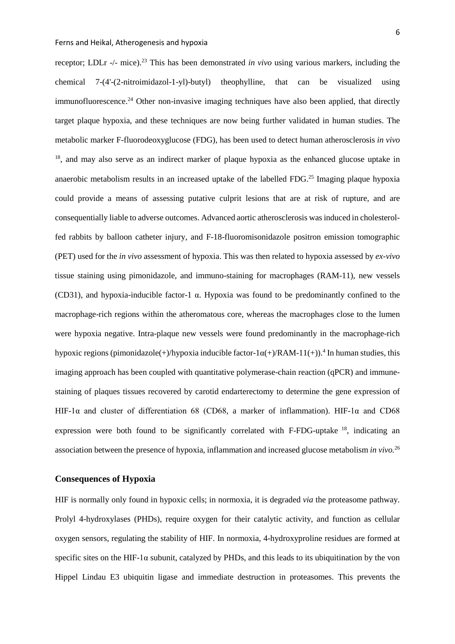receptor; LDLr -/- mice). [23](#page-42-1) This has been demonstrated *in vivo* using various markers, including the chemical 7-(4'-(2-nitroimidazol-1-yl)-butyl) theophylline, that can be visualized using immunofluorescence.<sup>24</sup> Other non-invasive imaging techniques have also been applied, that directly target plaque hypoxia, and these techniques are now being further validated in human studies. The metabolic marker F-fluorodeoxyglucose (FDG), has been used to detect human atherosclerosis *in vivo* <sup>18</sup>, and may also serve as an indirect marker of plaque hypoxia as the enhanced glucose uptake in anaerobic metabolism results in an increased uptake of the labelled FDG.<sup>25</sup> Imaging plaque hypoxia could provide a means of assessing putative culprit lesions that are at risk of rupture, and are consequentially liable to adverse outcomes. Advanced aortic atherosclerosis was induced in cholesterolfed rabbits by balloon catheter injury, and F-18-fluoromisonidazole positron emission tomographic (PET) used for the *in vivo* assessment of hypoxia. This was then related to hypoxia assessed by *ex-vivo*  tissue staining using pimonidazole, and immuno-staining for macrophages (RAM-11), new vessels (CD31), and hypoxia-inducible factor-1 α. Hypoxia was found to be predominantly confined to the macrophage-rich regions within the atheromatous core, whereas the macrophages close to the lumen were hypoxia negative. Intra-plaque new vessels were found predominantly in the macrophage-rich hypoxic regions (pimonidazole(+)/hypoxia inducible factor-1 $\alpha$ (+)/RAM-11(+)).<sup>4</sup> In human studies, this imaging approach has been coupled with quantitative polymerase-chain reaction (qPCR) and immunestaining of plaques tissues recovered by carotid endarterectomy to determine the gene expression of HIF-1 $\alpha$  and cluster of differentiation 68 (CD68, a marker of inflammation). HIF-1 $\alpha$  and CD68 expression were both found to be significantly correlated with F-FDG-uptake  $^{18}$ , indicating an association between the presence of hypoxia, inflammation and increased glucose metabolism *in vivo.* [26](#page-42-4)

### **Consequences of Hypoxia**

HIF is normally only found in hypoxic cells; in normoxia, it is degraded *via* the proteasome pathway. Prolyl 4-hydroxylases (PHDs), require oxygen for their catalytic activity, and function as cellular oxygen sensors, regulating the stability of HIF. In normoxia, 4-hydroxyproline residues are formed at specific sites on the HIF-1 $\alpha$  subunit, catalyzed by PHDs, and this leads to its ubiquitination by the von Hippel Lindau E3 ubiquitin ligase and immediate destruction in proteasomes. This prevents the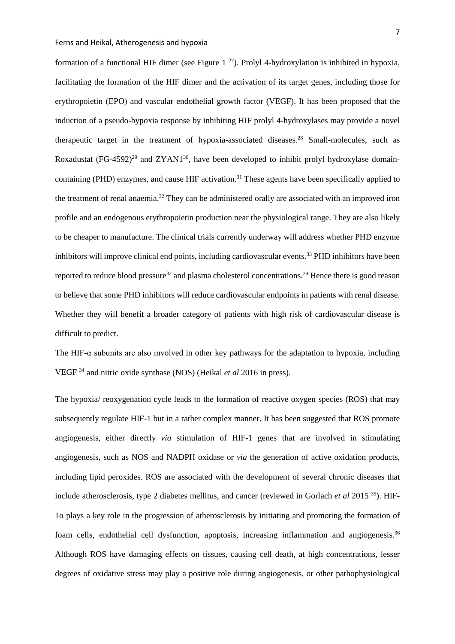formation of a functional HIF dimer (see Figure 1<sup>27</sup>). Prolyl 4-hydroxylation is inhibited in hypoxia, facilitating the formation of the HIF dimer and the activation of its target genes, including those for erythropoietin (EPO) and vascular endothelial growth factor (VEGF). It has been proposed that the induction of a pseudo-hypoxia response by inhibiting HIF prolyl 4-hydroxylases may provide a novel therapeutic target in the treatment of hypoxia-associated diseases[.28](#page-42-6) Small-molecules, such as Roxadustat (FG-4592)<sup>29</sup> and ZYAN1<sup>30</sup>, have been developed to inhibit prolyl hydroxylase domaincontaining (PHD) enzymes, and cause HIF activation.<sup>31</sup> These agents have been specifically applied to the treatment of renal anaemia[.32](#page-42-10) They can be administered orally are associated with an improved iron profile and an endogenous erythropoietin production near the physiological range. They are also likely to be cheaper to manufacture. The clinical trials currently underway will address whether PHD enzyme inhibitors will improve clinical end points, including cardiovascular events.<sup>33</sup> PHD inhibitors have been reported to reduce blood pressure<sup>32</sup> and plasma cholesterol concentrations.<sup>29</sup> Hence there is good reason to believe that some PHD inhibitors will reduce cardiovascular endpoints in patients with renal disease. Whether they will benefit a broader category of patients with high risk of cardiovascular disease is difficult to predict.

The HIF- $\alpha$  subunits are also involved in other key pathways for the adaptation to hypoxia, including VEGF [34](#page-43-0) and nitric oxide synthase (NOS) (Heikal *et al* 2016 in press).

The hypoxia/ reoxygenation cycle leads to the formation of reactive oxygen species (ROS) that may subsequently regulate HIF-1 but in a rather complex manner. It has been suggested that ROS promote angiogenesis, either directly *via* stimulation of HIF-1 genes that are involved in stimulating angiogenesis, such as NOS and NADPH oxidase or *via* the generation of active oxidation products, including lipid peroxides. ROS are associated with the development of several chronic diseases that include atherosclerosis, type 2 diabetes mellitus, and cancer (reviewed in Gorlach *et al* 2015 [35\)](#page-43-1). HIF-1α plays a key role in the progression of atherosclerosis by initiating and promoting the formation of foam cells, endothelial cell dysfunction, apoptosis, increasing inflammation and angiogenesis.<sup>[36](#page-43-2)</sup> Although ROS have damaging effects on tissues, causing cell death, at high concentrations, lesser degrees of oxidative stress may play a positive role during angiogenesis, or other pathophysiological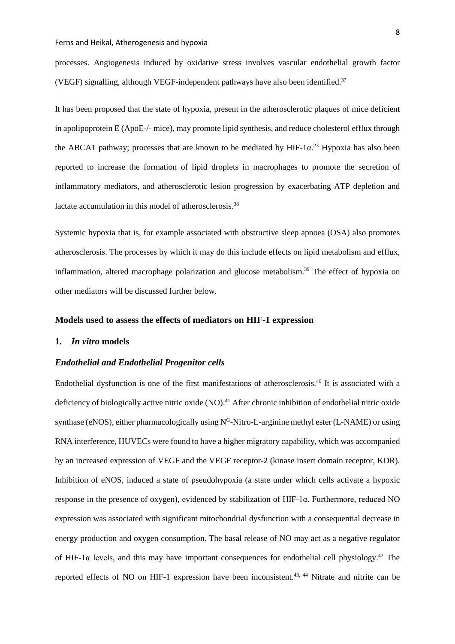processes. Angiogenesis induced by oxidative stress involves vascular endothelial growth factor (VEGF) signalling, although VEGF-independent pathways have also been identified[.37](#page-43-3)

It has been proposed that the state of hypoxia, present in the atherosclerotic plaques of mice deficient in apolipoprotein E (ApoE-/- mice), may promote lipid synthesis, and reduce cholesterol efflux through the ABCA1 pathway; processes that are known to be mediated by HIF-1 $\alpha$ <sup>[23](#page-42-1)</sup> Hypoxia has also been reported to increase the formation of lipid droplets in macrophages to promote the secretion of inflammatory mediators, and atherosclerotic lesion progression by exacerbating ATP depletion and lactate accumulation in this model of atherosclerosis.<sup>38</sup>

Systemic hypoxia that is, for example associated with obstructive sleep apnoea (OSA) also promotes atherosclerosis. The processes by which it may do this include effects on lipid metabolism and efflux, inflammation, altered macrophage polarization and glucose metabolism.<sup>39</sup> The effect of hypoxia on other mediators will be discussed further below.

## **Models used to assess the effects of mediators on HIF-1 expression**

### **1.** *In vitro* **models**

### *Endothelial and Endothelial Progenitor cells*

Endothelial dysfunction is one of the first manifestations of atherosclerosis. [40](#page-43-6) It is associated with a deficiency of biologically active nitric oxide (NO).<sup>41</sup> After chronic inhibition of endothelial nitric oxide synthase (eNOS), either pharmacologically using  $N<sup>G</sup>$ -Nitro-L-arginine methyl ester (L-NAME) or using RNA interference, HUVECs were found to have a higher migratory capability, which was accompanied by an increased expression of VEGF and the VEGF receptor-2 (kinase insert domain receptor, KDR). Inhibition of eNOS, induced a state of pseudohypoxia (a state under which cells activate a hypoxic response in the presence of oxygen), evidenced by stabilization of HIF-1α. Furthermore, reduced NO expression was associated with significant mitochondrial dysfunction with a consequential decrease in energy production and oxygen consumption. The basal release of NO may act as a negative regulator of HIF-1 $\alpha$  levels, and this may have important consequences for endothelial cell physiology.<sup>42</sup> The reported effects of NO on HIF-1 expression have been inconsistent.<sup>[43,](#page-43-9) [44](#page-43-10)</sup> Nitrate and nitrite can be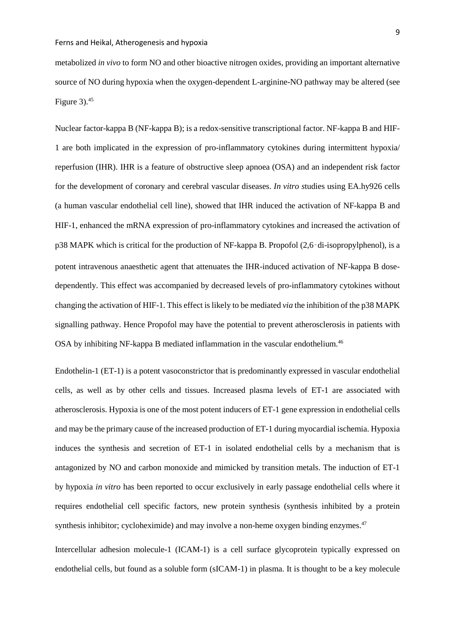metabolized *in vivo* to form NO and other bioactive nitrogen oxides, providing an important alternative source of NO during hypoxia when the oxygen-dependent L-arginine-NO pathway may be altered (see Figure  $3$ ).<sup>45</sup>

Nuclear factor-kappa B (NF-kappa B); is a redox-sensitive transcriptional factor. NF-kappa B and HIF-1 are both implicated in the expression of pro-inflammatory cytokines during intermittent hypoxia/ reperfusion (IHR). IHR is a feature of obstructive sleep apnoea (OSA) and an independent risk factor for the development of coronary and cerebral vascular diseases. *In vitro s*tudies using EA.hy926 cells (a human vascular endothelial cell line), showed that IHR induced the activation of NF-kappa B and HIF-1, enhanced the mRNA expression of pro-inflammatory cytokines and increased the activation of p38 MAPK which is critical for the production of NF-kappa B. Propofol (2,6‑di-isopropylphenol), is a potent intravenous anaesthetic agent that attenuates the IHR-induced activation of NF-kappa B dosedependently. This effect was accompanied by decreased levels of pro-inflammatory cytokines without changing the activation of HIF-1. This effect is likely to be mediated *via* the inhibition of the p38 MAPK signalling pathway. Hence Propofol may have the potential to prevent atherosclerosis in patients with OSA by inhibiting NF-kappa B mediated inflammation in the vascular endothelium. [46](#page-44-0)

Endothelin-1 (ET-1) is a potent vasoconstrictor that is predominantly expressed in vascular endothelial cells, as well as by other cells and tissues. Increased plasma levels of ET-1 are associated with atherosclerosis. Hypoxia is one of the most potent inducers of ET-1 gene expression in endothelial cells and may be the primary cause of the increased production of ET-1 during myocardial ischemia. Hypoxia induces the synthesis and secretion of ET-1 in isolated endothelial cells by a mechanism that is antagonized by NO and carbon monoxide and mimicked by transition metals. The induction of ET-1 by hypoxia *in vitro* has been reported to occur exclusively in early passage endothelial cells where it requires endothelial cell specific factors, new protein synthesis (synthesis inhibited by a protein synthesis inhibitor; cycloheximide) and may involve a non-heme oxygen binding enzymes.<sup>[47](#page-44-1)</sup>

Intercellular adhesion molecule-1 (ICAM-1) is a cell surface glycoprotein typically expressed on endothelial cells, but found as a soluble form (sICAM-1) in plasma. It is thought to be a key molecule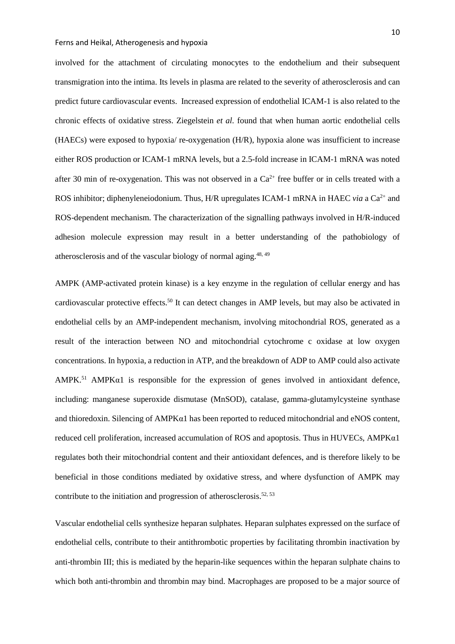involved for the attachment of circulating monocytes to the endothelium and their subsequent transmigration into the intima. Its levels in plasma are related to the severity of atherosclerosis and can predict future cardiovascular events. Increased expression of endothelial ICAM-1 is also related to the chronic effects of oxidative stress. Ziegelstein *et al.* found that when human aortic endothelial cells (HAECs) were exposed to hypoxia/ re-oxygenation (H/R), hypoxia alone was insufficient to increase either ROS production or ICAM-1 mRNA levels, but a 2.5-fold increase in ICAM-1 mRNA was noted after 30 min of re-oxygenation. This was not observed in a  $Ca^{2+}$  free buffer or in cells treated with a ROS inhibitor; diphenyleneiodonium. Thus, H/R upregulates ICAM-1 mRNA in HAEC *via* a Ca<sup>2+</sup> and ROS-dependent mechanism. The characterization of the signalling pathways involved in H/R-induced adhesion molecule expression may result in a better understanding of the pathobiology of atherosclerosis and of the vascular biology of normal aging.<sup>[48,](#page-44-2) [49](#page-44-3)</sup>

AMPK (AMP-activated protein kinase) is a key enzyme in the regulation of cellular energy and has cardiovascular protective effects.<sup>50</sup> It can detect changes in AMP levels, but may also be activated in endothelial cells by an AMP-independent mechanism, involving mitochondrial ROS, generated as a result of the interaction between NO and mitochondrial cytochrome c oxidase at low oxygen concentrations. In hypoxia, a reduction in ATP, and the breakdown of ADP to AMP could also activate AMPK $<sup>51</sup>$  AMPK $<sub>0</sub>1$  is responsible for the expression of genes involved in antioxidant defence,</sup></sub> including: manganese superoxide dismutase (MnSOD), catalase, gamma-glutamylcysteine synthase and thioredoxin. Silencing of AMPKα1 has been reported to reduced mitochondrial and eNOS content, reduced cell proliferation, increased accumulation of ROS and apoptosis. Thus in HUVECs, AMPKα1 regulates both their mitochondrial content and their antioxidant defences, and is therefore likely to be beneficial in those conditions mediated by oxidative stress, and where dysfunction of AMPK may contribute to the initiation and progression of atherosclerosis.<sup>52, [53](#page-44-7)</sup>

Vascular endothelial cells synthesize heparan sulphates. Heparan sulphates expressed on the surface of endothelial cells, contribute to their antithrombotic properties by facilitating thrombin inactivation by anti-thrombin III; this is mediated by the heparin-like sequences within the heparan sulphate chains to which both anti-thrombin and thrombin may bind. Macrophages are proposed to be a major source of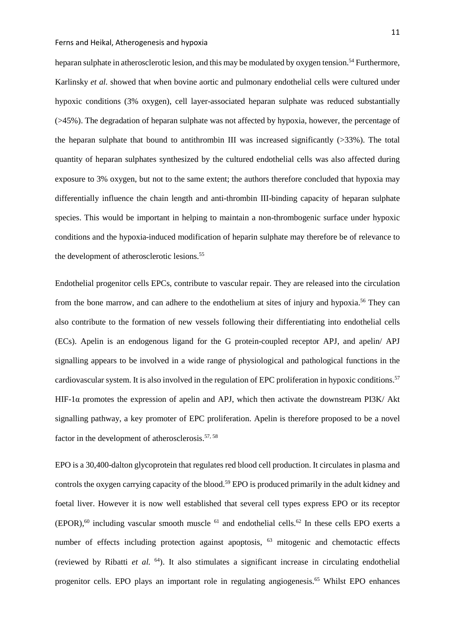heparan sulphate in atherosclerotic lesion, and this may be modulated by oxygen tension.<sup>54</sup> Furthermore, Karlinsky *et al.* showed that when bovine aortic and pulmonary endothelial cells were cultured under hypoxic conditions (3% oxygen), cell layer-associated heparan sulphate was reduced substantially (>45%). The degradation of heparan sulphate was not affected by hypoxia, however, the percentage of the heparan sulphate that bound to antithrombin III was increased significantly (>33%). The total quantity of heparan sulphates synthesized by the cultured endothelial cells was also affected during exposure to 3% oxygen, but not to the same extent; the authors therefore concluded that hypoxia may differentially influence the chain length and anti-thrombin III-binding capacity of heparan sulphate species. This would be important in helping to maintain a non-thrombogenic surface under hypoxic conditions and the hypoxia-induced modification of heparin sulphate may therefore be of relevance to the development of atherosclerotic lesions. [55](#page-44-9)

Endothelial progenitor cells EPCs, contribute to vascular repair. They are released into the circulation from the bone marrow, and can adhere to the endothelium at sites of injury and hypoxia.<sup>[56](#page-44-10)</sup> They can also contribute to the formation of new vessels following their differentiating into endothelial cells (ECs). Apelin is an endogenous ligand for the G protein-coupled receptor APJ, and apelin/ APJ signalling appears to be involved in a wide range of physiological and pathological functions in the cardiovascular system. It is also involved in the regulation of EPC proliferation in hypoxic conditions. [57](#page-45-0) HIF-1 $\alpha$  promotes the expression of apelin and APJ, which then activate the downstream PI3K/ Akt signalling pathway, a key promoter of EPC proliferation. Apelin is therefore proposed to be a novel factor in the development of atherosclerosis.<sup>[57,](#page-45-0) [58](#page-45-1)</sup>

EPO is a 30,400-dalton glycoprotein that regulates red blood cell production. It circulates in plasma and controls the oxygen carrying capacity of the blood[.59](#page-45-2) EPO is produced primarily in the adult kidney and foetal liver. However it is now well established that several cell types express EPO or its receptor  $(EPOR)$ ,<sup>60</sup> including vascular smooth muscle <sup>61</sup> and endothelial cells.<sup>62</sup> In these cells EPO exerts a number of effects including protection against apoptosis, <sup>[63](#page-45-6)</sup> mitogenic and chemotactic effects (reviewed by Ribatti *et al.* [64\)](#page-45-7). It also stimulates a significant increase in circulating endothelial progenitor cells. EPO plays an important role in regulating angiogenesis[.65](#page-45-8) Whilst EPO enhances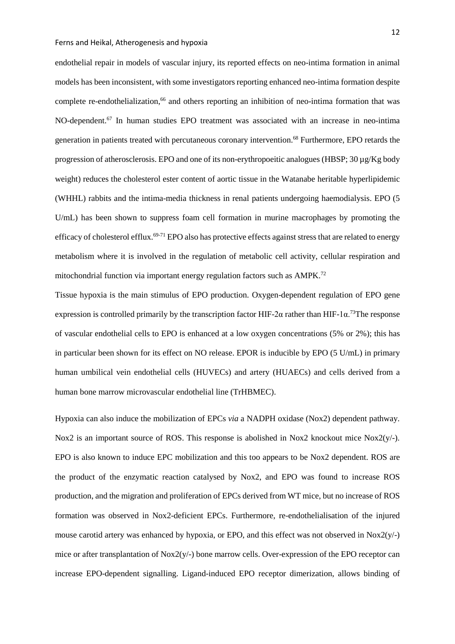endothelial repair in models of vascular injury, its reported effects on neo-intima formation in animal models has been inconsistent, with some investigators reporting enhanced neo-intima formation despite complete re-endothelialization, [66](#page-45-9) and others reporting an inhibition of neo-intima formation that was NO-dependent.<sup>67</sup> In human studies EPO treatment was associated with an increase in neo-intima generation in patients treated with percutaneous coronary intervention[.68](#page-46-0) Furthermore, EPO retards the progression of atherosclerosis. EPO and one of its non-erythropoeitic analogues (HBSP; 30 µg/Kg body weight) reduces the cholesterol ester content of aortic tissue in the Watanabe heritable hyperlipidemic (WHHL) rabbits and the intima-media thickness in renal patients undergoing haemodialysis. EPO (5 U/mL) has been shown to suppress foam cell formation in murine macrophages by promoting the efficacy of cholesterol efflux[.69-71](#page-46-1) EPO also has protective effects against stress that are related to energy metabolism where it is involved in the regulation of metabolic cell activity, cellular respiration and mitochondrial function via important energy regulation factors such as AMPK[.72](#page-46-2)

Tissue hypoxia is the main stimulus of EPO production. Oxygen-dependent regulation of EPO gene expression is controlled primarily by the transcription factor HIF-2 $\alpha$  rather than HIF-1 $\alpha$ <sup>73</sup>The response of vascular endothelial cells to EPO is enhanced at a low oxygen concentrations (5% or 2%); this has in particular been shown for its effect on NO release. EPOR is inducible by EPO (5 U/mL) in primary human umbilical vein endothelial cells (HUVECs) and artery (HUAECs) and cells derived from a human bone marrow microvascular endothelial line (TrHBMEC).

Hypoxia can also induce the mobilization of EPCs *via* a NADPH oxidase (Nox2) dependent pathway. Nox2 is an important source of ROS. This response is abolished in Nox2 knockout mice Nox2(y/-). EPO is also known to induce EPC mobilization and this too appears to be Nox2 dependent. ROS are the product of the enzymatic reaction catalysed by Nox2, and EPO was found to increase ROS production, and the migration and proliferation of EPCs derived from WT mice, but no increase of ROS formation was observed in Nox2-deficient EPCs. Furthermore, re-endothelialisation of the injured mouse carotid artery was enhanced by hypoxia, or EPO, and this effect was not observed in  $N\alpha\alpha(y/-)$ mice or after transplantation of Nox2(y/-) bone marrow cells. Over-expression of the EPO receptor can increase EPO-dependent signalling. Ligand-induced EPO receptor dimerization, allows binding of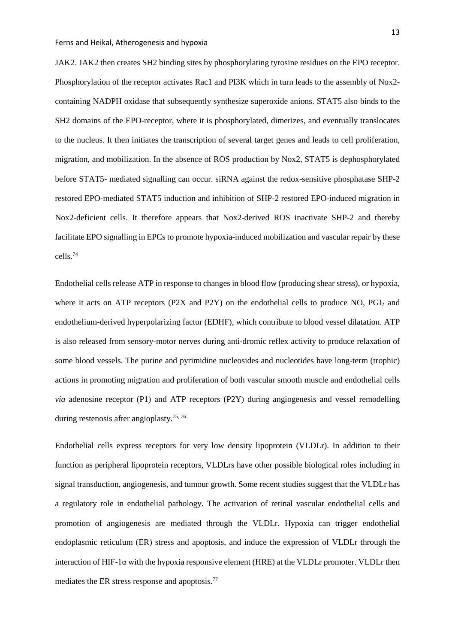JAK2. JAK2 then creates SH2 binding sites by phosphorylating tyrosine residues on the EPO receptor. Phosphorylation of the receptor activates Rac1 and PI3K which in turn leads to the assembly of Nox2 containing NADPH oxidase that subsequently synthesize superoxide anions. STAT5 also binds to the SH2 domains of the EPO-receptor, where it is phosphorylated, dimerizes, and eventually translocates to the nucleus. It then initiates the transcription of several target genes and leads to cell proliferation, migration, and mobilization. In the absence of ROS production by Nox2, STAT5 is dephosphorylated before STAT5- mediated signalling can occur. siRNA against the redox-sensitive phosphatase SHP-2 restored EPO-mediated STAT5 induction and inhibition of SHP-2 restored EPO-induced migration in Nox2-deficient cells. It therefore appears that Nox2-derived ROS inactivate SHP-2 and thereby facilitate EPO signalling in EPCs to promote hypoxia-induced mobilization and vascular repair by these cells. [74](#page-46-4)

Endothelial cells release ATP in response to changes in blood flow (producing shear stress), or hypoxia, where it acts on ATP receptors (P2X and P2Y) on the endothelial cells to produce NO,  $PGI<sub>2</sub>$  and endothelium-derived hyperpolarizing factor (EDHF), which contribute to blood vessel dilatation. ATP is also released from sensory-motor nerves during anti-dromic reflex activity to produce relaxation of some blood vessels. The purine and pyrimidine nucleosides and nucleotides have long-term (trophic) actions in promoting migration and proliferation of both vascular smooth muscle and endothelial cells *via* adenosine receptor (P1) and ATP receptors (P2Y) during angiogenesis and vessel remodelling during restenosis after angioplasty.<sup>[75,](#page-46-5) [76](#page-46-6)</sup>

Endothelial cells express receptors for very low density lipoprotein (VLDLr). In addition to their function as peripheral lipoprotein receptors, VLDLrs have other possible biological roles including in signal transduction, angiogenesis, and tumour growth. Some recent studies suggest that the VLDLr has a regulatory role in endothelial pathology. The activation of retinal vascular endothelial cells and promotion of angiogenesis are mediated through the VLDLr. Hypoxia can trigger endothelial endoplasmic reticulum (ER) stress and apoptosis, and induce the expression of VLDLr through the interaction of HIF-1 $\alpha$  with the hypoxia responsive element (HRE) at the VLDLr promoter. VLDLr then mediates the ER stress response and apoptosis[.77](#page-46-7)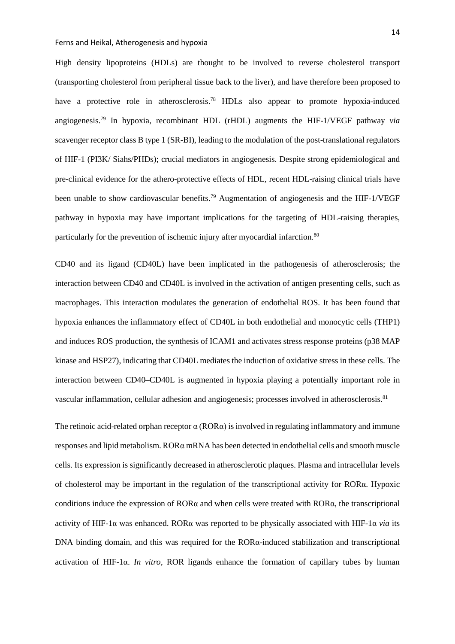High density lipoproteins (HDLs) are thought to be involved to reverse cholesterol transport (transporting cholesterol from peripheral tissue back to the liver), and have therefore been proposed to have a protective role in atherosclerosis.<sup>78</sup> HDLs also appear to promote hypoxia-induced angiogenesis[.79](#page-47-0) In hypoxia, recombinant HDL (rHDL) augments the HIF-1/VEGF pathway *via* scavenger receptor class B type 1 (SR-BI), leading to the modulation of the post-translational regulators of HIF-1 (PI3K/ Siahs/PHDs); crucial mediators in angiogenesis. Despite strong epidemiological and pre-clinical evidence for the athero-protective effects of HDL, recent HDL-raising clinical trials have been unable to show cardiovascular benefits.<sup>[79](#page-47-0)</sup> Augmentation of angiogenesis and the HIF-1/VEGF pathway in hypoxia may have important implications for the targeting of HDL-raising therapies, particularly for the prevention of ischemic injury after myocardial infarction.<sup>[80](#page-47-1)</sup>

CD40 and its ligand (CD40L) have been implicated in the pathogenesis of atherosclerosis; the interaction between CD40 and CD40L is involved in the activation of antigen presenting cells, such as macrophages. This interaction modulates the generation of endothelial ROS. It has been found that hypoxia enhances the inflammatory effect of CD40L in both endothelial and monocytic cells (THP1) and induces ROS production, the synthesis of ICAM1 and activates stress response proteins (p38 MAP kinase and HSP27), indicating that CD40L mediates the induction of oxidative stress in these cells. The interaction between CD40–CD40L is augmented in hypoxia playing a potentially important role in vascular inflammation, cellular adhesion and angiogenesis; processes involved in atherosclerosis.<sup>[81](#page-47-2)</sup>

The retinoic acid-related orphan receptor  $\alpha$  (ROR $\alpha$ ) is involved in regulating inflammatory and immune responses and lipid metabolism. RORα mRNA has been detected in endothelial cells and smooth muscle cells. Its expression is significantly decreased in atherosclerotic plaques. Plasma and intracellular levels of cholesterol may be important in the regulation of the transcriptional activity for RORα. Hypoxic conditions induce the expression of ROR $\alpha$  and when cells were treated with ROR $\alpha$ , the transcriptional activity of HIF-1 $\alpha$  was enhanced. ROR $\alpha$  was reported to be physically associated with HIF-1 $\alpha$  *via* its DNA binding domain, and this was required for the  $ROR\alpha$ -induced stabilization and transcriptional activation of HIF-1α. *In vitro*, ROR ligands enhance the formation of capillary tubes by human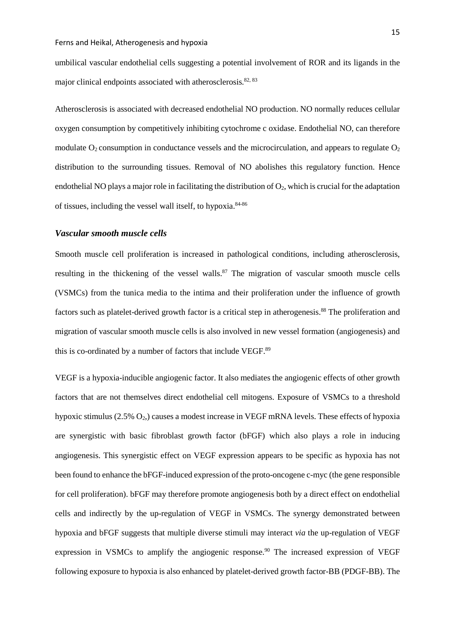umbilical vascular endothelial cells suggesting a potential involvement of ROR and its ligands in the major clinical endpoints associated with atherosclerosis.<sup>[82,](#page-47-3) [83](#page-47-4)</sup>

Atherosclerosis is associated with decreased endothelial NO production. NO normally reduces cellular oxygen consumption by competitively inhibiting cytochrome c oxidase. Endothelial NO, can therefore modulate  $O_2$  consumption in conductance vessels and the microcirculation, and appears to regulate  $O_2$ distribution to the surrounding tissues. Removal of NO abolishes this regulatory function. Hence endothelial NO plays a major role in facilitating the distribution of  $O_2$ , which is crucial for the adaptation of tissues, including the vessel wall itself, to hypoxia. $84-86$ 

## *Vascular smooth muscle cells*

Smooth muscle cell proliferation is increased in pathological conditions, including atherosclerosis, resulting in the thickening of the vessel walls.<sup>[87](#page-47-6)</sup> The migration of vascular smooth muscle cells (VSMCs) from the tunica media to the intima and their proliferation under the influence of growth factors such as platelet-derived growth factor is a critical step in atherogenesis.<sup>88</sup> The proliferation and migration of vascular smooth muscle cells is also involved in new vessel formation (angiogenesis) and this is co-ordinated by a number of factors that include VEGF.<sup>[89](#page-47-8)</sup>

VEGF is a hypoxia-inducible angiogenic factor. It also mediates the angiogenic effects of other growth factors that are not themselves direct endothelial cell mitogens. Exposure of VSMCs to a threshold hypoxic stimulus  $(2.5\% \text{ O}_2)$  causes a modest increase in VEGF mRNA levels. These effects of hypoxia are synergistic with basic fibroblast growth factor (bFGF) which also plays a role in inducing angiogenesis. This synergistic effect on VEGF expression appears to be specific as hypoxia has not been found to enhance the bFGF-induced expression of the proto-oncogene c-myc (the gene responsible for cell proliferation). bFGF may therefore promote angiogenesis both by a direct effect on endothelial cells and indirectly by the up-regulation of VEGF in VSMCs. The synergy demonstrated between hypoxia and bFGF suggests that multiple diverse stimuli may interact *via* the up-regulation of VEGF expression in VSMCs to amplify the angiogenic response.<sup>90</sup> The increased expression of VEGF following exposure to hypoxia is also enhanced by platelet-derived growth factor-BB (PDGF-BB). The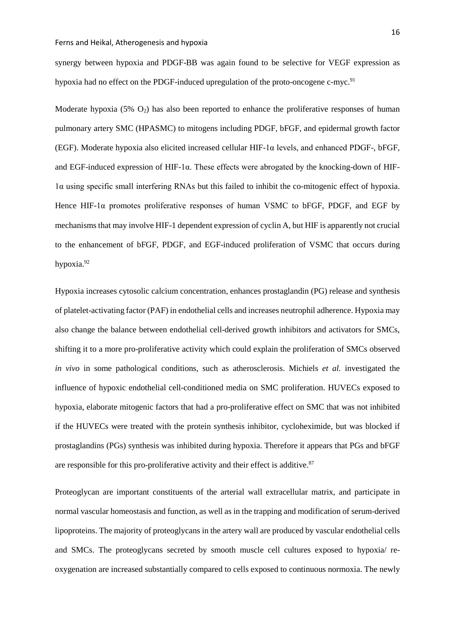synergy between hypoxia and PDGF-BB was again found to be selective for VEGF expression as hypoxia had no effect on the PDGF-induced upregulation of the proto-oncogene c-myc.<sup>[91](#page-48-0)</sup>

Moderate hypoxia  $(5\% \text{ O}_2)$  has also been reported to enhance the proliferative responses of human pulmonary artery SMC (HPASMC) to mitogens including PDGF, bFGF, and epidermal growth factor (EGF). Moderate hypoxia also elicited increased cellular HIF-1α levels, and enhanced PDGF-, bFGF, and EGF-induced expression of HIF-1α. These effects were abrogated by the knocking-down of HIF-1α using specific small interfering RNAs but this failed to inhibit the co-mitogenic effect of hypoxia. Hence HIF-1α promotes proliferative responses of human VSMC to bFGF, PDGF, and EGF by mechanisms that may involve HIF-1 dependent expression of cyclin A, but HIF is apparently not crucial to the enhancement of bFGF, PDGF, and EGF-induced proliferation of VSMC that occurs during hypoxia[.92](#page-48-1)

Hypoxia increases cytosolic calcium concentration, enhances prostaglandin (PG) release and synthesis of platelet-activating factor (PAF) in endothelial cells and increases neutrophil adherence. Hypoxia may also change the balance between endothelial cell-derived growth inhibitors and activators for SMCs, shifting it to a more pro-proliferative activity which could explain the proliferation of SMCs observed *in vivo* in some pathological conditions, such as atherosclerosis. Michiels *et al.* investigated the influence of hypoxic endothelial cell-conditioned media on SMC proliferation. HUVECs exposed to hypoxia, elaborate mitogenic factors that had a pro-proliferative effect on SMC that was not inhibited if the HUVECs were treated with the protein synthesis inhibitor, cycloheximide, but was blocked if prostaglandins (PGs) synthesis was inhibited during hypoxia. Therefore it appears that PGs and bFGF are responsible for this pro-proliferative activity and their effect is additive. $87$ 

Proteoglycan are important constituents of the arterial wall extracellular matrix, and participate in normal vascular homeostasis and function, as well as in the trapping and modification of serum-derived lipoproteins. The majority of proteoglycans in the artery wall are produced by vascular endothelial cells and SMCs. The proteoglycans secreted by smooth muscle cell cultures exposed to hypoxia/ reoxygenation are increased substantially compared to cells exposed to continuous normoxia. The newly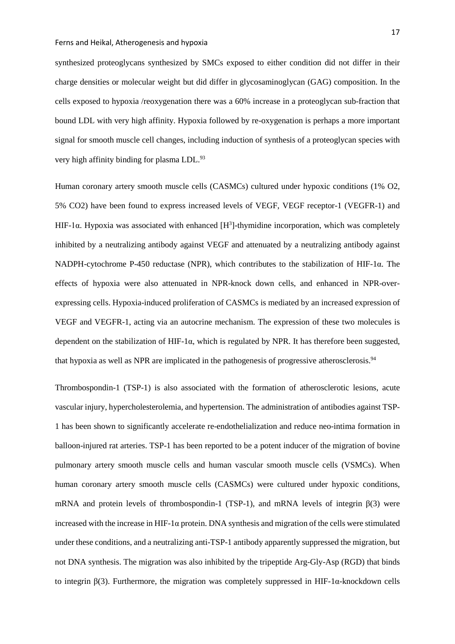synthesized proteoglycans synthesized by SMCs exposed to either condition did not differ in their charge densities or molecular weight but did differ in glycosaminoglycan (GAG) composition. In the cells exposed to hypoxia /reoxygenation there was a 60% increase in a proteoglycan sub-fraction that bound LDL with very high affinity. Hypoxia followed by re-oxygenation is perhaps a more important signal for smooth muscle cell changes, including induction of synthesis of a proteoglycan species with very high affinity binding for plasma LDL[.93](#page-48-2)

Human coronary artery smooth muscle cells (CASMCs) cultured under hypoxic conditions (1% O2, 5% CO2) have been found to express increased levels of VEGF, VEGF receptor-1 (VEGFR-1) and HIF-1 $\alpha$ . Hypoxia was associated with enhanced [H<sup>3</sup>]-thymidine incorporation, which was completely inhibited by a neutralizing antibody against VEGF and attenuated by a neutralizing antibody against NADPH-cytochrome P-450 reductase (NPR), which contributes to the stabilization of HIF-1α. The effects of hypoxia were also attenuated in NPR-knock down cells, and enhanced in NPR-overexpressing cells. Hypoxia-induced proliferation of CASMCs is mediated by an increased expression of VEGF and VEGFR-1, acting via an autocrine mechanism. The expression of these two molecules is dependent on the stabilization of HIF-1 $\alpha$ , which is regulated by NPR. It has therefore been suggested, that hypoxia as well as NPR are implicated in the pathogenesis of progressive atherosclerosis[.94](#page-48-3)

Thrombospondin-1 (TSP-1) is also associated with the formation of atherosclerotic lesions, acute vascular injury, hypercholesterolemia, and hypertension. The administration of antibodies against TSP-1 has been shown to significantly accelerate re-endothelialization and reduce neo-intima formation in balloon-injured rat arteries. TSP-1 has been reported to be a potent inducer of the migration of bovine pulmonary artery smooth muscle cells and human vascular smooth muscle cells (VSMCs). When human coronary artery smooth muscle cells (CASMCs) were cultured under hypoxic conditions, mRNA and protein levels of thrombospondin-1 (TSP-1), and mRNA levels of integrin  $\beta$ (3) were increased with the increase in HIF-1α protein. DNA synthesis and migration of the cells were stimulated under these conditions, and a neutralizing anti-TSP-1 antibody apparently suppressed the migration, but not DNA synthesis. The migration was also inhibited by the tripeptide Arg-Gly-Asp (RGD) that binds to integrin  $\beta$ (3). Furthermore, the migration was completely suppressed in HIF-1 $\alpha$ -knockdown cells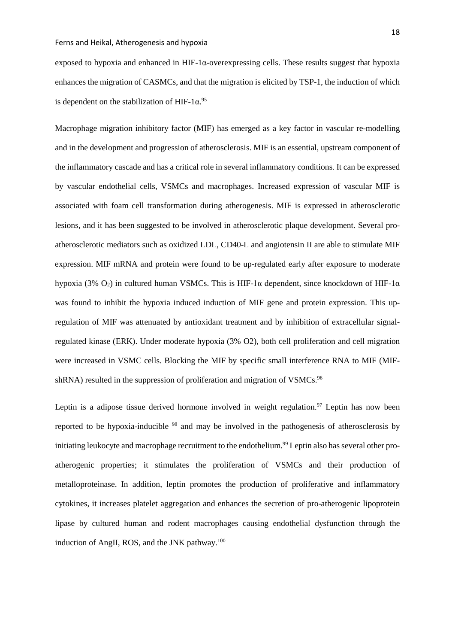exposed to hypoxia and enhanced in HIF-1 $\alpha$ -overexpressing cells. These results suggest that hypoxia enhances the migration of CASMCs, and that the migration is elicited by TSP-1, the induction of which is dependent on the stabilization of HIF-1 $\alpha$ .<sup>[95](#page-48-4)</sup>

Macrophage migration inhibitory factor (MIF) has emerged as a key factor in vascular re-modelling and in the development and progression of atherosclerosis. MIF is an essential, upstream component of the inflammatory cascade and has a critical role in several inflammatory conditions. It can be expressed by vascular endothelial cells, VSMCs and macrophages. Increased expression of vascular MIF is associated with foam cell transformation during atherogenesis. MIF is expressed in atherosclerotic lesions, and it has been suggested to be involved in atherosclerotic plaque development. Several proatherosclerotic mediators such as oxidized LDL, CD40-L and angiotensin II are able to stimulate MIF expression. MIF mRNA and protein were found to be up-regulated early after exposure to moderate hypoxia (3% O<sub>2</sub>) in cultured human VSMCs. This is HIF-1α dependent, since knockdown of HIF-1α was found to inhibit the hypoxia induced induction of MIF gene and protein expression. This upregulation of MIF was attenuated by antioxidant treatment and by inhibition of extracellular signalregulated kinase (ERK). Under moderate hypoxia (3% O2), both cell proliferation and cell migration were increased in VSMC cells. Blocking the MIF by specific small interference RNA to MIF (MIF-shRNA) resulted in the suppression of proliferation and migration of VSMCs.<sup>[96](#page-48-5)</sup>

Leptin is a adipose tissue derived hormone involved in weight regulation.<sup>97</sup> Leptin has now been reported to be hypoxia-inducible [98](#page-48-7) and may be involved in the pathogenesis of atherosclerosis by initiating leukocyte and macrophage recruitment to the endothelium. [99](#page-48-8) Leptin also has several other proatherogenic properties; it stimulates the proliferation of VSMCs and their production of metalloproteinase. In addition, leptin promotes the production of proliferative and inflammatory cytokines, it increases platelet aggregation and enhances the secretion of pro-atherogenic lipoprotein lipase by cultured human and rodent macrophages causing endothelial dysfunction through the induction of AngII, ROS, and the JNK pathway.<sup>[100](#page-49-0)</sup>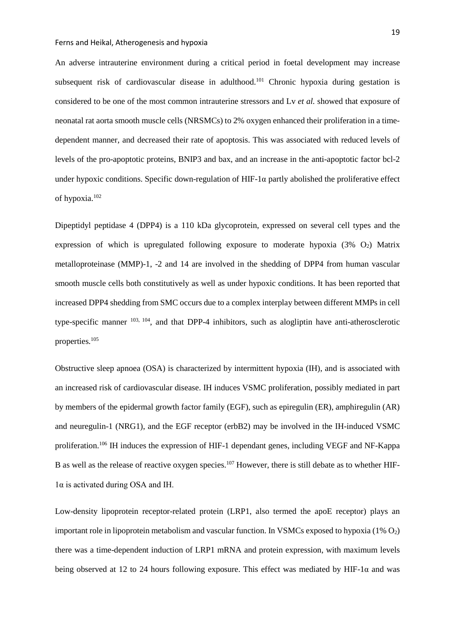An adverse intrauterine environment during a critical period in foetal development may increase subsequent risk of cardiovascular disease in adulthood.<sup>101</sup> Chronic hypoxia during gestation is considered to be one of the most common intrauterine stressors and Lv *et al.* showed that exposure of neonatal rat aorta smooth muscle cells (NRSMCs) to 2% oxygen enhanced their proliferation in a timedependent manner, and decreased their rate of apoptosis. This was associated with reduced levels of levels of the pro-apoptotic proteins, BNIP3 and bax, and an increase in the anti-apoptotic factor bcl-2 under hypoxic conditions. Specific down-regulation of HIF-1α partly abolished the proliferative effect of hypoxia[.102](#page-49-2)

Dipeptidyl peptidase 4 (DPP4) is a 110 kDa glycoprotein, expressed on several cell types and the expression of which is upregulated following exposure to moderate hypoxia  $(3\%$  O<sub>2</sub>) Matrix metalloproteinase (MMP)-1, -2 and 14 are involved in the shedding of DPP4 from human vascular smooth muscle cells both constitutively as well as under hypoxic conditions. It has been reported that increased DPP4 shedding from SMC occurs due to a complex interplay between different MMPs in cell type-specific manner [103,](#page-49-3) [104,](#page-49-4) and that DPP-4 inhibitors, such as alogliptin have anti-atherosclerotic propertie[s.105](#page-49-5)

Obstructive sleep apnoea (OSA) is characterized by intermittent hypoxia (IH), and is associated with an increased risk of cardiovascular disease. IH induces VSMC proliferation, possibly mediated in part by members of the epidermal growth factor family (EGF), such as epiregulin (ER), amphiregulin (AR) and neuregulin-1 (NRG1), and the EGF receptor (erbB2) may be involved in the IH-induced VSMC proliferatio[n.106](#page-49-6) IH induces the expression of HIF-1 dependant genes, including VEGF and NF-Kappa B as well as the release of reactive oxygen species.<sup>107</sup> However, there is still debate as to whether HIF- $1\alpha$  is activated during OSA and IH.

Low-density lipoprotein receptor-related protein (LRP1, also termed the apoE receptor) plays an important role in lipoprotein metabolism and vascular function. In VSMCs exposed to hypoxia  $(1\% O_2)$ there was a time-dependent induction of LRP1 mRNA and protein expression, with maximum levels being observed at 12 to 24 hours following exposure. This effect was mediated by HIF-1 $\alpha$  and was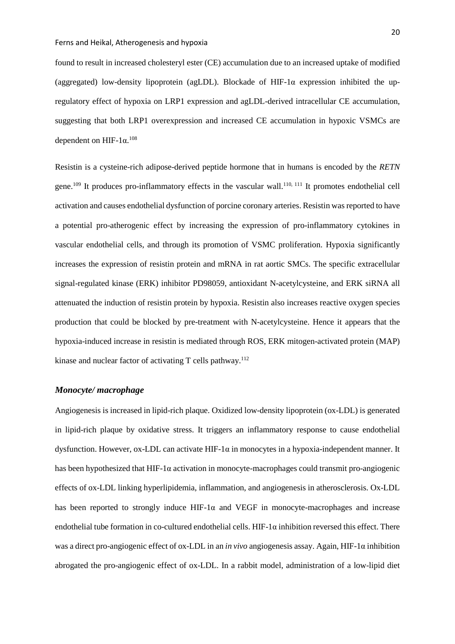found to result in increased cholesteryl ester (CE) accumulation due to an increased uptake of modified (aggregated) low-density lipoprotein (agLDL). Blockade of HIF-1 $\alpha$  expression inhibited the upregulatory effect of hypoxia on LRP1 expression and agLDL-derived intracellular CE accumulation, suggesting that both LRP1 overexpression and increased CE accumulation in hypoxic VSMCs are dependent on HIF- $1\alpha$ .<sup>[108](#page-49-8)</sup>

Resistin is a [cysteine-](https://en.wikipedia.org/wiki/Cysteine)rich [adipose-derived](https://en.wikipedia.org/wiki/Adipose-derived_hormones) [peptide hormone](https://en.wikipedia.org/wiki/Peptide_hormone) that in humans is encoded by the *RETN* [gene.](https://en.wikipedia.org/wiki/Gene)<sup>[109](#page-49-9)</sup> It produces pro-inflammatory effects in the vascular wall.<sup>[110,](#page-50-0) [111](#page-50-1)</sup> It promotes endothelial cell activation and causes endothelial dysfunction of porcine coronary arteries. Resistin was reported to have a potential pro-atherogenic effect by increasing the expression of pro-inflammatory cytokines in vascular endothelial cells, and through its promotion of VSMC proliferation. Hypoxia significantly increases the expression of resistin protein and mRNA in rat aortic SMCs. The specific extracellular signal-regulated kinase (ERK) inhibitor PD98059, antioxidant N-acetylcysteine, and ERK siRNA all attenuated the induction of resistin protein by hypoxia. Resistin also increases reactive oxygen species production that could be blocked by pre-treatment with N-acetylcysteine. Hence it appears that the hypoxia-induced increase in resistin is mediated through ROS, ERK mitogen-activated protein (MAP) kinase and nuclear factor of activating T cells pathway.<sup>[112](#page-50-2)</sup>

# *Monocyte/ macrophage*

Angiogenesis is increased in lipid-rich plaque. Oxidized low-density lipoprotein (ox-LDL) is generated in lipid-rich plaque by oxidative stress. It triggers an inflammatory response to cause endothelial dysfunction. However, ox-LDL can activate HIF-1α in monocytes in a hypoxia-independent manner. It has been hypothesized that HIF-1α activation in monocyte-macrophages could transmit pro-angiogenic effects of ox-LDL linking hyperlipidemia, inflammation, and angiogenesis in atherosclerosis. Ox-LDL has been reported to strongly induce  $HIF-1\alpha$  and VEGF in monocyte-macrophages and increase endothelial tube formation in co-cultured endothelial cells. HIF-1α inhibition reversed this effect. There was a direct pro-angiogenic effect of ox-LDL in an *in vivo* angiogenesis assay. Again, HIF-1α inhibition abrogated the pro-angiogenic effect of ox-LDL. In a rabbit model, administration of a low-lipid diet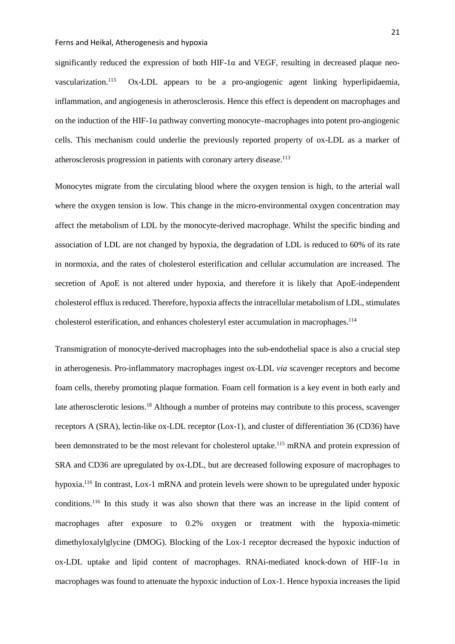significantly reduced the expression of both HIF-1 $\alpha$  and VEGF, resulting in decreased plaque neovascularization.  $0x$ -LDL appears to be a pro-angiogenic agent linking hyperlipidaemia, inflammation, and angiogenesis in atherosclerosis. Hence this effect is dependent on macrophages and on the induction of the HIF-1α pathway converting monocyte–macrophages into potent pro-angiogenic cells. This mechanism could underlie the previously reported property of ox-LDL as a marker of atherosclerosis progression in patients with coronary artery disease. [113](#page-50-3)

Monocytes migrate from the circulating blood where the oxygen tension is high, to the arterial wall where the oxygen tension is low. This change in the micro-environmental oxygen concentration may affect the metabolism of LDL by the monocyte-derived macrophage. Whilst the specific binding and association of LDL are not changed by hypoxia, the degradation of LDL is reduced to 60% of its rate in normoxia, and the rates of cholesterol esterification and cellular accumulation are increased. The secretion of ApoE is not altered under hypoxia, and therefore it is likely that ApoE-independent cholesterol efflux isreduced. Therefore, hypoxia affects the intracellular metabolism of LDL, stimulates cholesterol esterification, and enhances cholesteryl ester accumulation in macrophages. [114](#page-50-4)

Transmigration of monocyte-derived macrophages into the sub-endothelial space is also a crucial step in atherogenesis. Pro-inflammatory macrophages ingest ox-LDL *via* scavenger receptors and become foam cells, thereby promoting plaque formation. Foam cell formation is a key event in both early and late atherosclerotic lesions.<sup>[18](#page-41-5)</sup> Although a number of proteins may contribute to this process, scavenger receptors A (SRA), lectin-like ox-LDL receptor (Lox-1), and cluster of differentiation 36 (CD36) have been demonstrated to be the most relevant for cholesterol uptake.<sup>[115](#page-50-5)</sup> mRNA and protein expression of SRA and CD36 are upregulated by ox-LDL, but are decreased following exposure of macrophages to hypoxia.<sup>[116](#page-50-6)</sup> In contrast, Lox-1 mRNA and protein levels were shown to be upregulated under hypoxic conditions.<sup>[116](#page-50-6)</sup> In this study it was also shown that there was an increase in the lipid content of macrophages after exposure to 0.2% oxygen or treatment with the hypoxia-mimetic dimethyloxalylglycine (DMOG). Blocking of the Lox-1 receptor decreased the hypoxic induction of ox-LDL uptake and lipid content of macrophages. RNAi-mediated knock-down of HIF-1 $\alpha$  in macrophages was found to attenuate the hypoxic induction of Lox-1. Hence hypoxia increases the lipid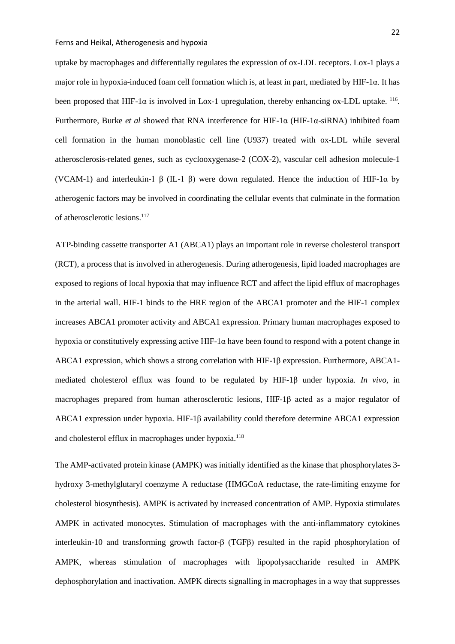uptake by macrophages and differentially regulates the expression of ox-LDL receptors. Lox-1 plays a major role in hypoxia-induced foam cell formation which is, at least in part, mediated by HIF-1α. It has been proposed that HIF-1 $\alpha$  is involved in Lox-1 upregulation, thereby enhancing ox-LDL uptake. <sup>116</sup>. Furthermore, Burke *et al* showed that RNA interference for HIF-1α (HIF-1α-siRNA) inhibited foam cell formation in the human monoblastic cell line (U937) treated with ox-LDL while several atherosclerosis-related genes, such as cyclooxygenase-2 (COX-2), vascular cell adhesion molecule-1 (VCAM-1) and interleukin-1  $\beta$  (IL-1  $\beta$ ) were down regulated. Hence the induction of HIF-1 $\alpha$  by atherogenic factors may be involved in coordinating the cellular events that culminate in the formation of atherosclerotic lesions.<sup>117</sup>

ATP-binding cassette transporter A1 (ABCA1) plays an important role in reverse cholesterol transport (RCT), a process that is involved in atherogenesis. During atherogenesis, lipid loaded macrophages are exposed to regions of local hypoxia that may influence RCT and affect the lipid efflux of macrophages in the arterial wall. HIF-1 binds to the HRE region of the ABCA1 promoter and the HIF-1 complex increases ABCA1 promoter activity and ABCA1 expression. Primary human macrophages exposed to hypoxia or constitutively expressing active HIF-1 $\alpha$  have been found to respond with a potent change in ABCA1 expression, which shows a strong correlation with HIF-1β expression. Furthermore, ABCA1 mediated cholesterol efflux was found to be regulated by HIF-1β under hypoxia*. In vivo*, in macrophages prepared from human atherosclerotic lesions, HIF-1β acted as a major regulator of ABCA1 expression under hypoxia. HIF-1β availability could therefore determine ABCA1 expression and cholesterol efflux in macrophages under hypoxia.<sup>118</sup>

The AMP-activated protein kinase (AMPK) was initially identified as the kinase that phosphorylates 3 hydroxy 3-methylglutaryl coenzyme A reductase (HMGCoA reductase, the rate-limiting enzyme for cholesterol biosynthesis). AMPK is activated by increased concentration of AMP. Hypoxia stimulates AMPK in activated monocytes. Stimulation of macrophages with the anti-inflammatory cytokines interleukin-10 and transforming growth factor-β (TGFβ) resulted in the rapid phosphorylation of AMPK, whereas stimulation of macrophages with lipopolysaccharide resulted in AMPK dephosphorylation and inactivation. AMPK directs signalling in macrophages in a way that suppresses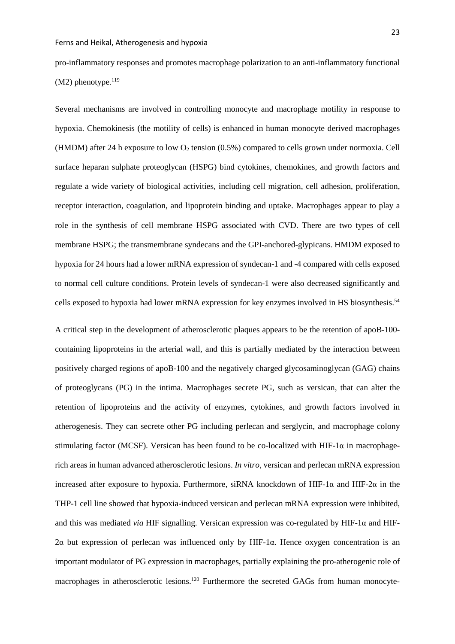pro-inflammatory responses and promotes macrophage polarization to an anti-inflammatory functional  $(M2)$  phenotype.<sup>119</sup>

Several mechanisms are involved in controlling monocyte and macrophage motility in response to hypoxia. Chemokinesis (the motility of cells) is enhanced in human monocyte derived macrophages (HMDM) after 24 h exposure to low  $O_2$  tension (0.5%) compared to cells grown under normoxia. Cell surface heparan sulphate proteoglycan (HSPG) bind cytokines, chemokines, and growth factors and regulate a wide variety of biological activities, including cell migration, cell adhesion, proliferation, receptor interaction, coagulation, and lipoprotein binding and uptake. Macrophages appear to play a role in the synthesis of cell membrane HSPG associated with CVD. There are two types of cell membrane HSPG; the transmembrane syndecans and the GPI-anchored-glypicans. HMDM exposed to hypoxia for 24 hours had a lower mRNA expression of syndecan-1 and -4 compared with cells exposed to normal cell culture conditions. Protein levels of syndecan-1 were also decreased significantly and cells exposed to hypoxia had lower mRNA expression for key enzymes involved in HS biosynthesis.<sup>[54](#page-44-8)</sup>

A critical step in the development of atherosclerotic plaques appears to be the retention of apoB-100 containing lipoproteins in the arterial wall, and this is partially mediated by the interaction between positively charged regions of apoB-100 and the negatively charged glycosaminoglycan (GAG) chains of proteoglycans (PG) in the intima. Macrophages secrete PG, such as versican, that can alter the retention of lipoproteins and the activity of enzymes, cytokines, and growth factors involved in atherogenesis. They can secrete other PG including perlecan and serglycin, and macrophage colony stimulating factor (MCSF). Versican has been found to be co-localized with HIF-1 $\alpha$  in macrophagerich areas in human advanced atherosclerotic lesions. *In vitro*, versican and perlecan mRNA expression increased after exposure to hypoxia. Furthermore, siRNA knockdown of HIF-1 $\alpha$  and HIF-2 $\alpha$  in the THP-1 cell line showed that hypoxia-induced versican and perlecan mRNA expression were inhibited, and this was mediated *via* HIF signalling. Versican expression was co-regulated by HIF-1 $\alpha$  and HIF-2α but expression of perlecan was influenced only by HIF-1α. Hence oxygen concentration is an important modulator of PG expression in macrophages, partially explaining the pro-atherogenic role of macrophages in atherosclerotic lesions.<sup>120</sup> Furthermore the secreted GAGs from human monocyte-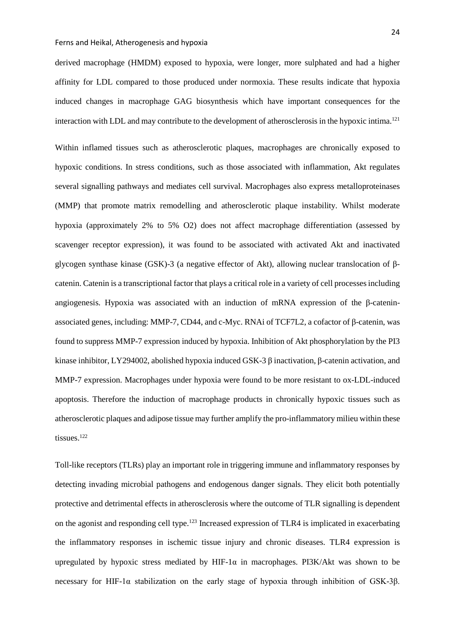derived macrophage (HMDM) exposed to hypoxia, were longer, more sulphated and had a higher affinity for LDL compared to those produced under normoxia. These results indicate that hypoxia induced changes in macrophage GAG biosynthesis which have important consequences for the interaction with LDL and may contribute to the development of atherosclerosis in the hypoxic intima[.121](#page-51-0)

Within inflamed tissues such as atherosclerotic plaques, macrophages are chronically exposed to hypoxic conditions. In stress conditions, such as those associated with inflammation, Akt regulates several signalling pathways and mediates cell survival. Macrophages also express metalloproteinases (MMP) that promote matrix remodelling and atherosclerotic plaque instability. Whilst moderate hypoxia (approximately 2% to 5% O2) does not affect macrophage differentiation (assessed by scavenger receptor expression), it was found to be associated with activated Akt and inactivated glycogen synthase kinase (GSK)-3 (a negative effector of Akt), allowing nuclear translocation of βcatenin. Catenin is a transcriptional factor that plays a critical role in a variety of cell processes including angiogenesis. Hypoxia was associated with an induction of mRNA expression of the β-cateninassociated genes, including: MMP-7, CD44, and c-Myc. RNAi of TCF7L2, a cofactor of β-catenin, was found to suppress MMP-7 expression induced by hypoxia. Inhibition of Akt phosphorylation by the PI3 kinase inhibitor, LY294002, abolished hypoxia induced GSK-3 β inactivation, β-catenin activation, and MMP-7 expression. Macrophages under hypoxia were found to be more resistant to ox-LDL-induced apoptosis. Therefore the induction of macrophage products in chronically hypoxic tissues such as atherosclerotic plaques and adipose tissue may further amplify the pro-inflammatory milieu within these tissues.<sup>[122](#page-51-1)</sup>

Toll-like receptors (TLRs) play an important role in triggering immune and inflammatory responses by detecting invading microbial pathogens and endogenous danger signals. They elicit both potentially protective and detrimental effects in atherosclerosis where the outcome of TLR signalling is dependent on the agonist and responding cell type[.123](#page-51-2) Increased expression of TLR4 is implicated in exacerbating the inflammatory responses in ischemic tissue injury and chronic diseases. TLR4 expression is upregulated by hypoxic stress mediated by  $HIF-1\alpha$  in macrophages. PI3K/Akt was shown to be necessary for HIF-1α stabilization on the early stage of hypoxia through inhibition of GSK-3β.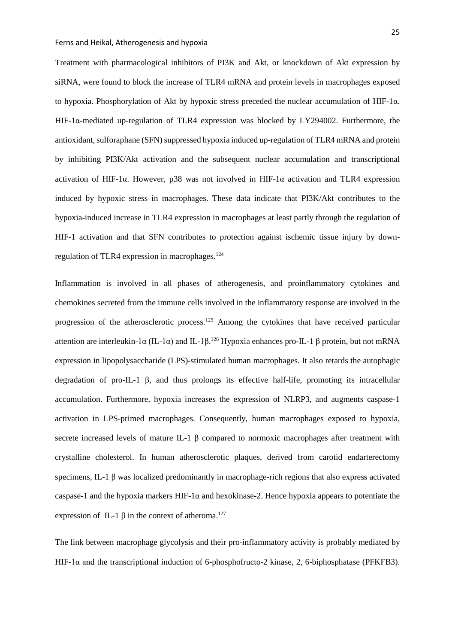Treatment with pharmacological inhibitors of PI3K and Akt, or knockdown of Akt expression by siRNA, were found to block the increase of TLR4 mRNA and protein levels in macrophages exposed to hypoxia. Phosphorylation of Akt by hypoxic stress preceded the nuclear accumulation of HIF-1α. HIF-1α-mediated up-regulation of TLR4 expression was blocked by LY294002. Furthermore, the antioxidant, sulforaphane (SFN) suppressed hypoxia induced up-regulation of TLR4 mRNA and protein by inhibiting PI3K/Akt activation and the subsequent nuclear accumulation and transcriptional activation of HIF-1α. However, p38 was not involved in HIF-1α activation and TLR4 expression induced by hypoxic stress in macrophages. These data indicate that PI3K/Akt contributes to the hypoxia-induced increase in TLR4 expression in macrophages at least partly through the regulation of HIF-1 activation and that SFN contributes to protection against ischemic tissue injury by downregulation of TLR4 expression in macrophages. $124$ 

Inflammation is involved in all phases of atherogenesis, and proinflammatory cytokines and chemokines secreted from the immune cells involved in the inflammatory response are involved in the progression of the atherosclerotic process.<sup>[125](#page-51-4)</sup> Among the cytokines that have received particular attention are interleukin-1α (IL-1α) and IL-1β.<sup>[126](#page-51-5)</sup> Hypoxia enhances pro-IL-1 β protein, but not mRNA expression in lipopolysaccharide (LPS)-stimulated human macrophages. It also retards the autophagic degradation of pro-IL-1 β, and thus prolongs its effective half-life, promoting its intracellular accumulation. Furthermore, hypoxia increases the expression of NLRP3, and augments caspase-1 activation in LPS-primed macrophages. Consequently, human macrophages exposed to hypoxia, secrete increased levels of mature IL-1 β compared to normoxic macrophages after treatment with crystalline cholesterol. In human atherosclerotic plaques, derived from carotid endarterectomy specimens, IL-1 β was localized predominantly in macrophage-rich regions that also express activated caspase-1 and the hypoxia markers  $HIF-1\alpha$  and hexokinase-2. Hence hypoxia appears to potentiate the expression of IL-1  $\beta$  in the context of atheroma.<sup>[127](#page-51-6)</sup>

The link between macrophage glycolysis and their pro-inflammatory activity is probably mediated by HIF-1 $\alpha$  and the transcriptional induction of 6-phosphofructo-2 kinase, 2, 6-biphosphatase (PFKFB3).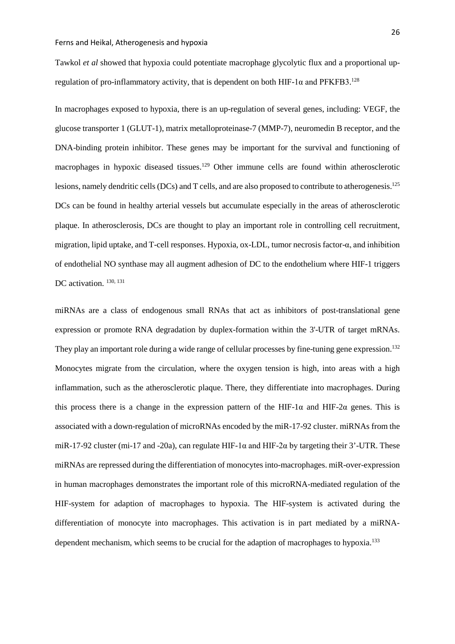Tawkol *et al* showed that hypoxia could potentiate macrophage glycolytic flux and a proportional upregulation of pro-inflammatory activity, that is dependent on both HIF-1 $\alpha$  and PFKFB3.<sup>[128](#page-51-7)</sup>

In macrophages exposed to hypoxia, there is an up-regulation of several genes, including: VEGF, the glucose transporter 1 (GLUT-1), matrix metalloproteinase-7 (MMP-7), neuromedin B receptor, and the DNA-binding protein inhibitor. These genes may be important for the survival and functioning of macrophages in hypoxic diseased tissues.<sup>129</sup> Other immune cells are found within atherosclerotic lesions, namely dendritic cells (DCs) and T cells, and are also proposed to contribute to atherogenesis.<sup>[125](#page-51-4)</sup> DCs can be found in healthy arterial vessels but accumulate especially in the areas of atherosclerotic plaque. In atherosclerosis, DCs are thought to play an important role in controlling cell recruitment, migration, lipid uptake, and T-cell responses. Hypoxia, ox-LDL, tumor necrosis factor-α, and inhibition of endothelial NO synthase may all augment adhesion of DC to the endothelium where HIF-1 triggers DC activation.<sup>130, [131](#page-51-10)</sup>

miRNAs are a class of endogenous small RNAs that act as inhibitors of post-translational gene expression or promote RNA degradation by duplex-formation within the 3'-UTR of target mRNAs. They play an important role during a wide range of cellular processes by fine-tuning gene expression.<sup>[132](#page-51-11)</sup> Monocytes migrate from the circulation, where the oxygen tension is high, into areas with a high inflammation, such as the atherosclerotic plaque. There, they differentiate into macrophages. During this process there is a change in the expression pattern of the HIF-1 $\alpha$  and HIF-2 $\alpha$  genes. This is associated with a down-regulation of microRNAs encoded by the miR-17-92 cluster. miRNAs from the miR-17-92 cluster (mi-17 and -20a), can regulate HIF-1 $\alpha$  and HIF-2 $\alpha$  by targeting their 3'-UTR. These miRNAs are repressed during the differentiation of monocytes into-macrophages. miR-over-expression in human macrophages demonstrates the important role of this microRNA-mediated regulation of the HIF-system for adaption of macrophages to hypoxia. The HIF-system is activated during the differentiation of monocyte into macrophages. This activation is in part mediated by a miRNA-dependent mechanism, which seems to be crucial for the adaption of macrophages to hypoxia.<sup>[133](#page-52-0)</sup>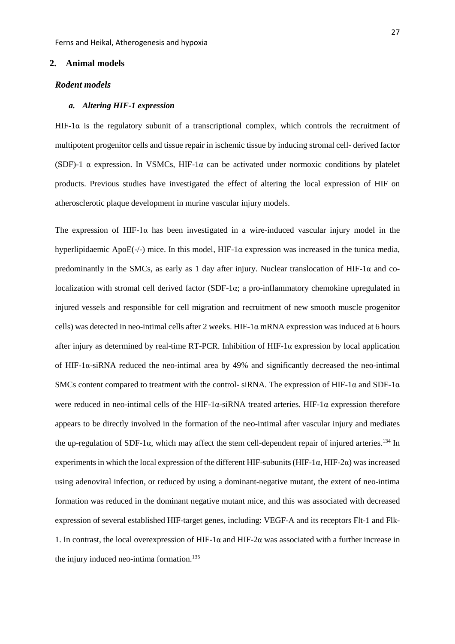# **2. Animal models**

# *Rodent models*

### *a. Altering HIF-1 expression*

HIF-1 $\alpha$  is the regulatory subunit of a transcriptional complex, which controls the recruitment of multipotent progenitor cells and tissue repair in ischemic tissue by inducing stromal cell- derived factor (SDF)-1  $\alpha$  expression. In VSMCs, HIF-1 $\alpha$  can be activated under normoxic conditions by platelet products. Previous studies have investigated the effect of altering the local expression of HIF on atherosclerotic plaque development in murine vascular injury models.

The expression of HIF-1 $\alpha$  has been investigated in a wire-induced vascular injury model in the hyperlipidaemic ApoE(-/-) mice. In this model, HIF-1 $\alpha$  expression was increased in the tunica media, predominantly in the SMCs, as early as 1 day after injury. Nuclear translocation of HIF-1 $\alpha$  and colocalization with stromal cell derived factor (SDF-1α; a pro-inflammatory chemokine upregulated in injured vessels and responsible for cell migration and recruitment of new smooth muscle progenitor cells) was detected in neo-intimal cells after 2 weeks. HIF-1α mRNA expression was induced at 6 hours after injury as determined by real-time RT-PCR. Inhibition of HIF-1α expression by local application of HIF-1α-siRNA reduced the neo-intimal area by 49% and significantly decreased the neo-intimal SMCs content compared to treatment with the control- siRNA. The expression of HIF-1 $\alpha$  and SDF-1 $\alpha$ were reduced in neo-intimal cells of the HIF-1 $\alpha$ -siRNA treated arteries. HIF-1 $\alpha$  expression therefore appears to be directly involved in the formation of the neo-intimal after vascular injury and mediates the up-regulation of SDF-1 $\alpha$ , which may affect the stem cell-dependent repair of injured arteries.<sup>134</sup> In experiments in which the local expression of the different HIF-subunits (HIF-1 $\alpha$ , HIF-2 $\alpha$ ) was increased using adenoviral infection, or reduced by using a dominant-negative mutant, the extent of neo-intima formation was reduced in the dominant negative mutant mice, and this was associated with decreased expression of several established HIF-target genes, including: VEGF-A and its receptors Flt-1 and Flk-1. In contrast, the local overexpression of HIF-1α and HIF-2α was associated with a further increase in the injury induced neo-intima formation. [135](#page-52-2)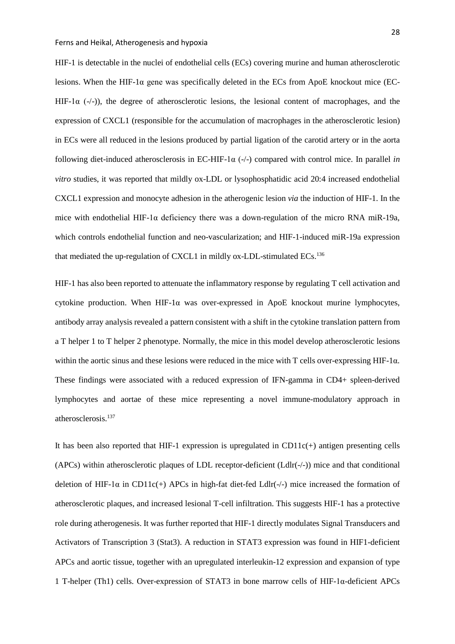HIF-1 is detectable in the nuclei of endothelial cells (ECs) covering murine and human atherosclerotic lesions. When the HIF-1 $\alpha$  gene was specifically deleted in the ECs from ApoE knockout mice (EC-HIF-1 $\alpha$  (-/-)), the degree of atherosclerotic lesions, the lesional content of macrophages, and the expression of CXCL1 (responsible for the accumulation of macrophages in the atherosclerotic lesion) in ECs were all reduced in the lesions produced by partial ligation of the carotid artery or in the aorta following diet-induced atherosclerosis in EC-HIF-1α (-/-) compared with control mice. In parallel *in vitro* studies, it was reported that mildly ox-LDL or lysophosphatidic acid 20:4 increased endothelial CXCL1 expression and monocyte adhesion in the atherogenic lesion *via* the induction of HIF-1. In the mice with endothelial HIF-1 $\alpha$  deficiency there was a down-regulation of the micro RNA miR-19a, which controls endothelial function and neo-vascularization; and HIF-1-induced miR-19a expression that mediated the up-regulation of CXCL1 in mildly ox-LDL-stimulated ECs.<sup>[136](#page-52-3)</sup>

HIF-1 has also been reported to attenuate the inflammatory response by regulating T cell activation and cytokine production. When HIF-1 $\alpha$  was over-expressed in ApoE knockout murine lymphocytes, antibody array analysis revealed a pattern consistent with a shift in the cytokine translation pattern from a T helper 1 to T helper 2 phenotype. Normally, the mice in this model develop atherosclerotic lesions within the aortic sinus and these lesions were reduced in the mice with T cells over-expressing HIF-1α. These findings were associated with a reduced expression of IFN-gamma in CD4+ spleen-derived lymphocytes and aortae of these mice representing a novel immune-modulatory approach in atherosclerosis. [137](#page-52-4)

It has been also reported that HIF-1 expression is upregulated in  $CD11c(+)$  antigen presenting cells (APCs) within atherosclerotic plaques of LDL receptor-deficient ( $Ldir(-/-)$ ) mice and that conditional deletion of HIF-1 $\alpha$  in CD11 $c$ (+) APCs in high-fat diet-fed Ldlr(-/-) mice increased the formation of atherosclerotic plaques, and increased lesional T-cell infiltration. This suggests HIF-1 has a protective role during atherogenesis. It was further reported that HIF-1 directly modulates Signal Transducers and Activators of Transcription 3 (Stat3). A reduction in STAT3 expression was found in HIF1-deficient APCs and aortic tissue, together with an upregulated interleukin-12 expression and expansion of type 1 T-helper (Th1) cells. Over-expression of STAT3 in bone marrow cells of HIF-1α-deficient APCs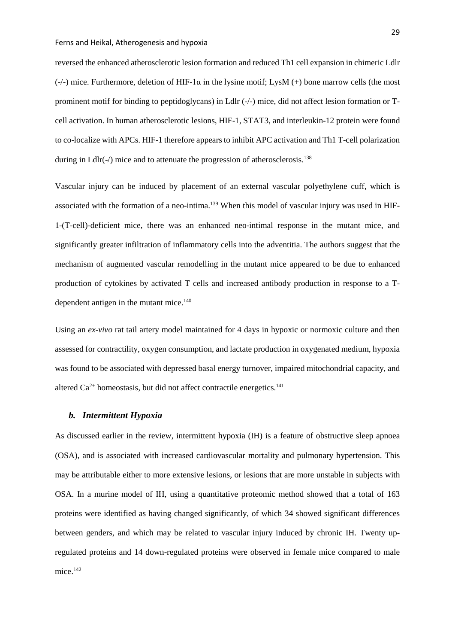reversed the enhanced atherosclerotic lesion formation and reduced Th1 cell expansion in chimeric Ldlr  $(-/-)$  mice. Furthermore, deletion of HIF-1 $\alpha$  in the lysine motif; LysM  $(+)$  bone marrow cells (the most prominent motif for binding to peptidoglycans) in Ldlr (-/-) mice, did not affect lesion formation or Tcell activation. In human atherosclerotic lesions, HIF-1, STAT3, and interleukin-12 protein were found to co-localize with APCs. HIF-1 therefore appears to inhibit APC activation and Th1 T-cell polarization during in Ldlr(-/) mice and to attenuate the progression of atherosclerosis.<sup>138</sup>

Vascular injury can be induced by placement of an external vascular polyethylene cuff, which is associated with the formation of a neo-intima.<sup>[139](#page-52-6)</sup> When this model of vascular injury was used in HIF-1-(T-cell)-deficient mice, there was an enhanced neo-intimal response in the mutant mice, and significantly greater infiltration of inflammatory cells into the adventitia. The authors suggest that the mechanism of augmented vascular remodelling in the mutant mice appeared to be due to enhanced production of cytokines by activated T cells and increased antibody production in response to a T-dependent antigen in the mutant mice.<sup>[140](#page-52-7)</sup>

Using an *ex-vivo* rat tail artery model maintained for 4 days in hypoxic or normoxic culture and then assessed for contractility, oxygen consumption, and lactate production in oxygenated medium, hypoxia was found to be associated with depressed basal energy turnover, impaired mitochondrial capacity, and altered  $Ca^{2+}$  homeostasis, but did not affect contractile energetics.<sup>141</sup>

## *b. Intermittent Hypoxia*

As discussed earlier in the review, intermittent hypoxia (IH) is a feature of obstructive sleep apnoea (OSA), and is associated with increased cardiovascular mortality and pulmonary hypertension. This may be attributable either to more extensive lesions, or lesions that are more unstable in subjects with OSA. In a murine model of IH, using a quantitative proteomic method showed that a total of 163 proteins were identified as having changed significantly, of which 34 showed significant differences between genders, and which may be related to vascular injury induced by chronic IH. Twenty upregulated proteins and 14 down-regulated proteins were observed in female mice compared to male mice. [142](#page-52-9)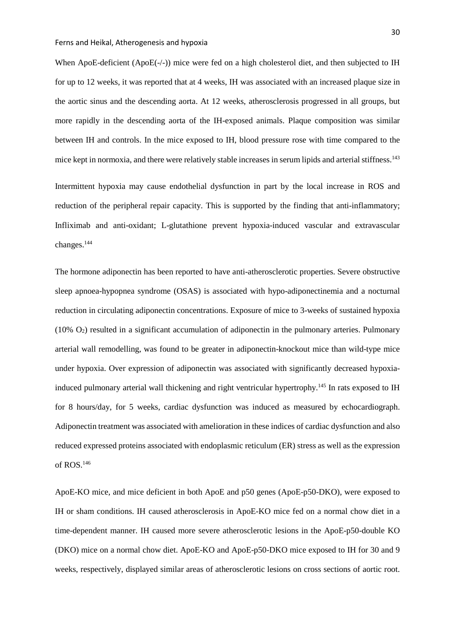When ApoE-deficient (ApoE(-/-)) mice were fed on a high cholesterol diet, and then subjected to IH for up to 12 weeks, it was reported that at 4 weeks, IH was associated with an increased plaque size in the aortic sinus and the descending aorta. At 12 weeks, atherosclerosis progressed in all groups, but more rapidly in the descending aorta of the IH-exposed animals. Plaque composition was similar between IH and controls. In the mice exposed to IH, blood pressure rose with time compared to the mice kept in normoxia, and there were relatively stable increases in serum lipids and arterial stiffness.<sup>[143](#page-53-0)</sup>

Intermittent hypoxia may cause endothelial dysfunction in part by the local increase in ROS and reduction of the peripheral repair capacity. This is supported by the finding that anti-inflammatory; Infliximab and anti-oxidant; L-glutathione prevent hypoxia-induced vascular and extravascular changes. [144](#page-53-1)

The hormone adiponectin has been reported to have anti-atherosclerotic properties. Severe obstructive sleep apnoea-hypopnea syndrome (OSAS) is associated with hypo-adiponectinemia and a nocturnal reduction in circulating adiponectin concentrations. Exposure of mice to 3-weeks of sustained hypoxia (10% O2) resulted in a significant accumulation of adiponectin in the pulmonary arteries. Pulmonary arterial wall remodelling, was found to be greater in adiponectin-knockout mice than wild-type mice under hypoxia. Over expression of adiponectin was associated with significantly decreased hypoxia-induced pulmonary arterial wall thickening and right ventricular hypertrophy.<sup>[145](#page-53-2)</sup> In rats exposed to IH for 8 hours/day, for 5 weeks, cardiac dysfunction was induced as measured by echocardiograph. Adiponectin treatment was associated with amelioration in these indices of cardiac dysfunction and also reduced expressed proteins associated with endoplasmic reticulum (ER) stress as well as the expression of ROS. [146](#page-53-3)

ApoE-KO mice, and mice deficient in both ApoE and p50 genes (ApoE-p50-DKO), were exposed to IH or sham conditions. IH caused atherosclerosis in ApoE-KO mice fed on a normal chow diet in a time-dependent manner. IH caused more severe atherosclerotic lesions in the ApoE-p50-double KO (DKO) mice on a normal chow diet. ApoE-KO and ApoE-p50-DKO mice exposed to IH for 30 and 9 weeks, respectively, displayed similar areas of atherosclerotic lesions on cross sections of aortic root.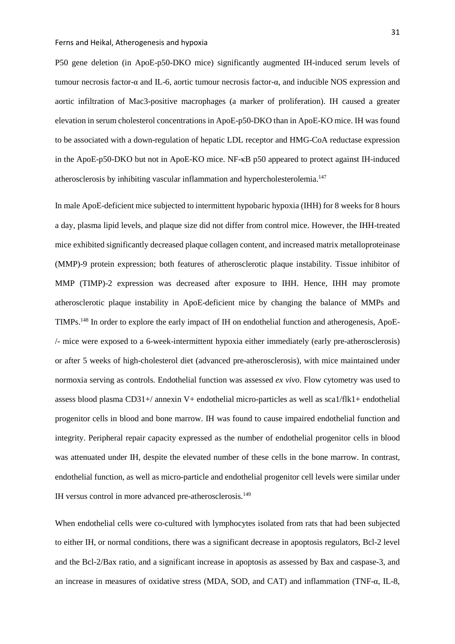P50 gene deletion (in ApoE-p50-DKO mice) significantly augmented IH-induced serum levels of tumour necrosis factor-α and IL-6, aortic tumour necrosis factor-α, and inducible NOS expression and aortic infiltration of Mac3-positive macrophages (a marker of proliferation). IH caused a greater elevation in serum cholesterol concentrations in ApoE-p50-DKO than in ApoE-KO mice. IH was found to be associated with a down-regulation of hepatic LDL receptor and HMG-CoA reductase expression in the ApoE-p50-DKO but not in ApoE-KO mice. NF-κB p50 appeared to protect against IH-induced atherosclerosis by inhibiting vascular inflammation and hypercholesterolemia.<sup>147</sup>

In male ApoE-deficient mice subjected to intermittent hypobaric hypoxia (IHH) for 8 weeks for 8 hours a day, plasma lipid levels, and plaque size did not differ from control mice. However, the IHH-treated mice exhibited significantly decreased plaque collagen content, and increased matrix metalloproteinase (MMP)-9 protein expression; both features of atherosclerotic plaque instability. Tissue inhibitor of MMP (TIMP)-2 expression was decreased after exposure to IHH. Hence, IHH may promote atherosclerotic plaque instability in ApoE-deficient mice by changing the balance of MMPs and TIMPs[.148](#page-53-5) In order to explore the early impact of IH on endothelial function and atherogenesis, ApoE- /- mice were exposed to a 6-week-intermittent hypoxia either immediately (early pre-atherosclerosis) or after 5 weeks of high-cholesterol diet (advanced pre-atherosclerosis), with mice maintained under normoxia serving as controls. Endothelial function was assessed *ex vivo*. Flow cytometry was used to assess blood plasma CD31+/ annexin V+ endothelial micro-particles as well as sca1/flk1+ endothelial progenitor cells in blood and bone marrow. IH was found to cause impaired endothelial function and integrity. Peripheral repair capacity expressed as the number of endothelial progenitor cells in blood was attenuated under IH, despite the elevated number of these cells in the bone marrow. In contrast, endothelial function, as well as micro-particle and endothelial progenitor cell levels were similar under IH versus control in more advanced pre-atherosclerosis. [149](#page-53-6)

When endothelial cells were co-cultured with lymphocytes isolated from rats that had been subjected to either IH, or normal conditions, there was a significant decrease in apoptosis regulators, Bcl-2 level and the Bcl-2/Bax ratio, and a significant increase in apoptosis as assessed by Bax and caspase-3, and an increase in measures of oxidative stress (MDA, SOD, and CAT) and inflammation (TNF-α, IL-8,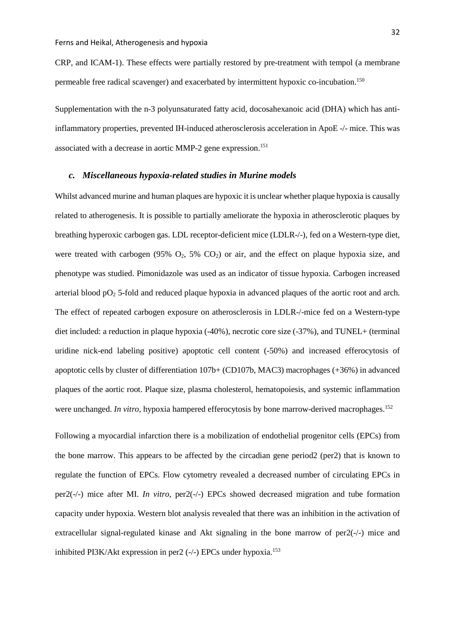CRP, and ICAM-1). These effects were partially restored by pre-treatment with tempol (a membrane permeable free radical scavenger) and exacerbated by intermittent hypoxic co-incubation.<sup>[150](#page-53-7)</sup>

Supplementation with the n-3 polyunsaturated fatty acid, docosahexanoic acid (DHA) which has antiinflammatory properties, prevented IH-induced atherosclerosis acceleration in ApoE -/- mice. This was associated with a decrease in aortic MMP-2 gene expression.<sup>151</sup>

# *c. Miscellaneous hypoxia-related studies in Murine models*

Whilst advanced murine and human plaques are hypoxic it is unclear whether plaque hypoxia is causally related to atherogenesis. It is possible to partially ameliorate the hypoxia in atherosclerotic plaques by breathing hyperoxic carbogen gas. LDL receptor-deficient mice (LDLR-/-), fed on a Western-type diet, were treated with carbogen (95%  $O_2$ , 5%  $CO_2$ ) or air, and the effect on plaque hypoxia size, and phenotype was studied. Pimonidazole was used as an indicator of tissue hypoxia. Carbogen increased arterial blood  $pO_2$  5-fold and reduced plaque hypoxia in advanced plaques of the aortic root and arch. The effect of repeated carbogen exposure on atherosclerosis in LDLR-/-mice fed on a Western-type diet included: a reduction in plaque hypoxia (-40%), necrotic core size (-37%), and TUNEL+ (terminal uridine nick-end labeling positive) apoptotic cell content (-50%) and increased efferocytosis of apoptotic cells by cluster of differentiation 107b+ (CD107b, MAC3) macrophages (+36%) in advanced plaques of the aortic root. Plaque size, plasma cholesterol, hematopoiesis, and systemic inflammation were unchanged. *In vitro*, hypoxia hampered efferocytosis by bone marrow-derived macrophages.<sup>[152](#page-53-9)</sup>

Following a myocardial infarction there is a mobilization of endothelial progenitor cells (EPCs) from the bone marrow. This appears to be affected by the circadian gene period2 (per2) that is known to regulate the function of EPCs. Flow cytometry revealed a decreased number of circulating EPCs in per2(-/-) mice after MI. *In vitro,* per2(-/-) EPCs showed decreased migration and tube formation capacity under hypoxia. Western blot analysis revealed that there was an inhibition in the activation of extracellular signal-regulated kinase and Akt signaling in the bone marrow of  $per2(-/-)$  mice and inhibited PI3K/Akt expression in per2 (-/-) EPCs under hypoxia.<sup>[153](#page-53-10)</sup>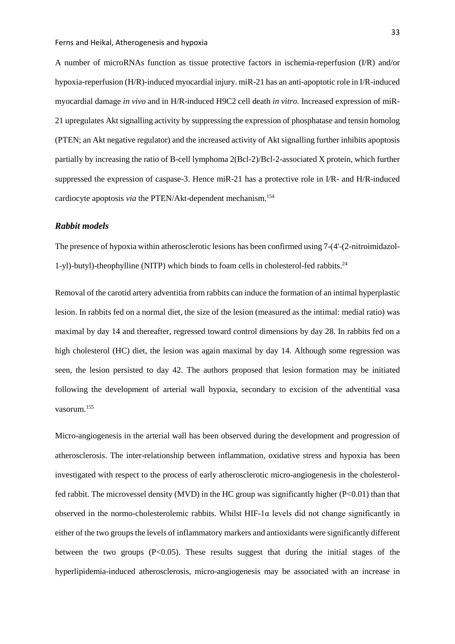A number of microRNAs function as tissue protective factors in ischemia-reperfusion (I/R) and/or hypoxia-reperfusion (H/R)-induced myocardial injury. miR-21 has an anti-apoptotic role in I/R-induced myocardial damage *in vivo* and in H/R-induced H9C2 cell death *in vitro*. Increased expression of miR-21 upregulates Akt signalling activity by suppressing the expression of phosphatase and tensin homolog (PTEN; an Akt negative regulator) and the increased activity of Akt signalling further inhibits apoptosis partially by increasing the ratio of B-cell lymphoma 2(Bcl-2)/Bcl-2-associated X protein, which further suppressed the expression of caspase-3. Hence miR-21 has a protective role in I/R- and H/R-induced cardiocyte apoptosis *via* the PTEN/Akt-dependent mechanism. [154](#page-54-0)

## *Rabbit models*

The presence of hypoxia within atherosclerotic lesions has been confirmed using 7-(4'-(2-nitroimidazol-1-yl)-butyl)-theophylline (NITP) which binds to foam cells in cholesterol-fed rabbits. [24](#page-42-2)

Removal of the carotid artery adventitia from rabbits can induce the formation of an intimal hyperplastic lesion. In rabbits fed on a normal diet, the size of the lesion (measured as the intimal: medial ratio) was maximal by day 14 and thereafter, regressed toward control dimensions by day 28. In rabbits fed on a high cholesterol (HC) diet, the lesion was again maximal by day 14. Although some regression was seen, the lesion persisted to day 42. The authors proposed that lesion formation may be initiated following the development of arterial wall hypoxia, secondary to excision of the adventitial vasa vasorum. [155](#page-54-1)

Micro-angiogenesis in the arterial wall has been observed during the development and progression of atherosclerosis. The inter-relationship between inflammation, oxidative stress and hypoxia has been investigated with respect to the process of early atherosclerotic micro-angiogenesis in the cholesterolfed rabbit. The microvessel density (MVD) in the HC group was significantly higher (P<0.01) than that observed in the normo-cholesterolemic rabbits. Whilst HIF-1 $\alpha$  levels did not change significantly in either of the two groups the levels of inflammatory markers and antioxidants were significantly different between the two groups (P<0.05). These results suggest that during the initial stages of the hyperlipidemia-induced atherosclerosis, micro-angiogenesis may be associated with an increase in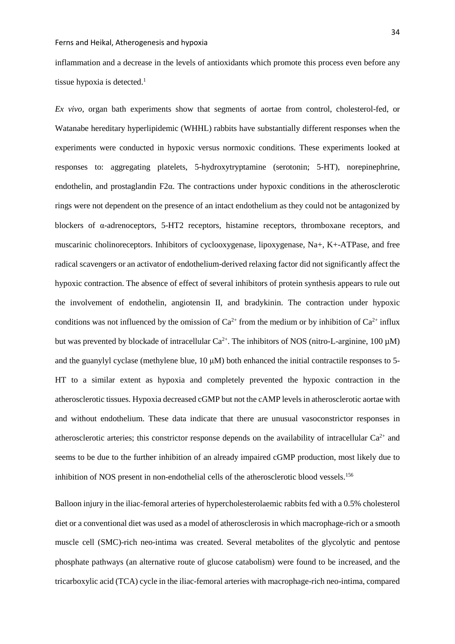inflammation and a decrease in the levels of antioxidants which promote this process even before any tissue hypoxia is detected[.](#page-40-0) 1

*Ex vivo*, organ bath experiments show that segments of aortae from control, cholesterol-fed, or Watanabe hereditary hyperlipidemic (WHHL) rabbits have substantially different responses when the experiments were conducted in hypoxic versus normoxic conditions. These experiments looked at responses to: aggregating platelets, 5-hydroxytryptamine (serotonin; 5-HT), norepinephrine, endothelin, and prostaglandin F2α. The contractions under hypoxic conditions in the atherosclerotic rings were not dependent on the presence of an intact endothelium as they could not be antagonized by blockers of α-adrenoceptors, 5-HT2 receptors, histamine receptors, thromboxane receptors, and muscarinic cholinoreceptors. Inhibitors of cyclooxygenase, lipoxygenase, Na+, K+-ATPase, and free radical scavengers or an activator of endothelium-derived relaxing factor did not significantly affect the hypoxic contraction. The absence of effect of several inhibitors of protein synthesis appears to rule out the involvement of endothelin, angiotensin II, and bradykinin. The contraction under hypoxic conditions was not influenced by the omission of  $Ca^{2+}$  from the medium or by inhibition of  $Ca^{2+}$  influx but was prevented by blockade of intracellular  $Ca^{2+}$ . The inhibitors of NOS (nitro-L-arginine, 100  $\mu$ M) and the guanylyl cyclase (methylene blue, 10 μM) both enhanced the initial contractile responses to 5- HT to a similar extent as hypoxia and completely prevented the hypoxic contraction in the atherosclerotic tissues. Hypoxia decreased cGMP but not the cAMP levels in atherosclerotic aortae with and without endothelium. These data indicate that there are unusual vasoconstrictor responses in atherosclerotic arteries; this constrictor response depends on the availability of intracellular  $Ca^{2+}$  and seems to be due to the further inhibition of an already impaired cGMP production, most likely due to inhibition of NOS present in non-endothelial cells of the atherosclerotic blood vessels.<sup>156</sup>

Balloon injury in the iliac-femoral arteries of hypercholesterolaemic rabbits fed with a 0.5% cholesterol diet or a conventional diet was used as a model of atherosclerosis in which macrophage-rich or a smooth muscle cell (SMC)-rich neo-intima was created. Several metabolites of the glycolytic and pentose phosphate pathways (an alternative route of glucose catabolism) were found to be increased, and the tricarboxylic acid (TCA) cycle in the iliac-femoral arteries with macrophage-rich neo-intima, compared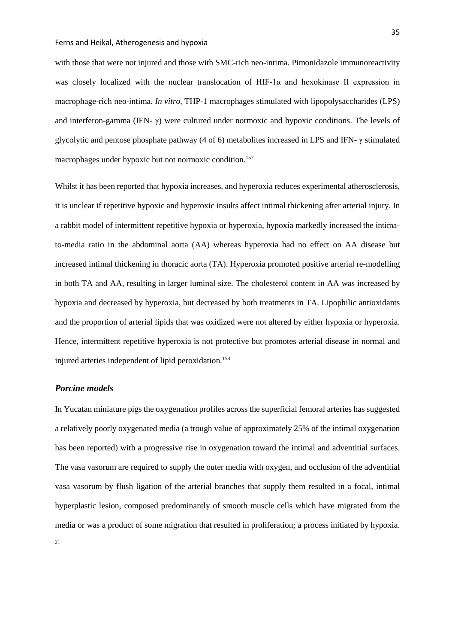with those that were not injured and those with SMC-rich neo-intima. Pimonidazole immunoreactivity was closely localized with the nuclear translocation of HIF-1 $\alpha$  and hexokinase II expression in macrophage-rich neo-intima. *In vitro*, THP-1 macrophages stimulated with lipopolysaccharides (LPS) and interferon-gamma (IFN- γ) were cultured under normoxic and hypoxic conditions. The levels of glycolytic and pentose phosphate pathway (4 of 6) metabolites increased in LPS and IFN- γ stimulated macrophages under hypoxic but not normoxic condition[.157](#page-54-3)

Whilst it has been reported that hypoxia increases, and hyperoxia reduces experimental atherosclerosis, it is unclear if repetitive hypoxic and hyperoxic insults affect intimal thickening after arterial injury. In a rabbit model of intermittent repetitive hypoxia or hyperoxia, hypoxia markedly increased the intimato-media ratio in the abdominal aorta (AA) whereas hyperoxia had no effect on AA disease but increased intimal thickening in thoracic aorta (TA). Hyperoxia promoted positive arterial re-modelling in both TA and AA, resulting in larger luminal size. The cholesterol content in AA was increased by hypoxia and decreased by hyperoxia, but decreased by both treatments in TA. Lipophilic antioxidants and the proportion of arterial lipids that was oxidized were not altered by either hypoxia or hyperoxia. Hence, intermittent repetitive hyperoxia is not protective but promotes arterial disease in normal and injured arteries independent of lipid peroxidation.<sup>158</sup>

## *Porcine models*

In Yucatan miniature pigs the oxygenation profiles across the superficial femoral arteries has suggested a relatively poorly oxygenated media (a trough value of approximately 25% of the intimal oxygenation has been reported) with a progressive rise in oxygenation toward the intimal and adventitial surfaces. The vasa vasorum are required to supply the outer media with oxygen, and occlusion of the adventitial vasa vasorum by flush ligation of the arterial branches that supply them resulted in a focal, intimal hyperplastic lesion, composed predominantly of smooth muscle cells which have migrated from the media or was a product of some migration that resulted in proliferation; a process initiated by hypoxia.

[21](#page-41-8)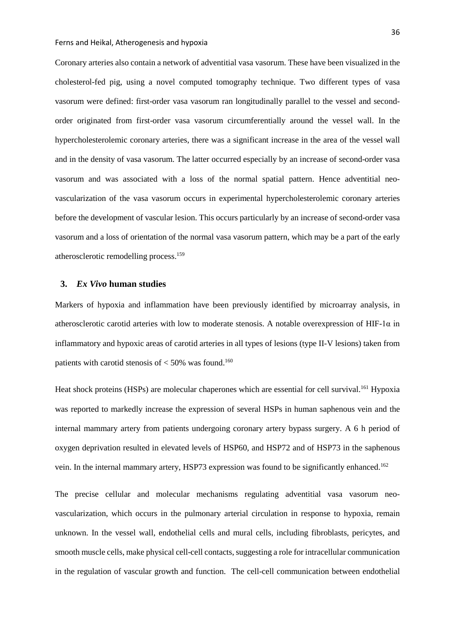Coronary arteries also contain a network of adventitial vasa vasorum. These have been visualized in the cholesterol-fed pig, using a novel computed tomography technique. Two different types of vasa vasorum were defined: first-order vasa vasorum ran longitudinally parallel to the vessel and secondorder originated from first-order vasa vasorum circumferentially around the vessel wall. In the hypercholesterolemic coronary arteries, there was a significant increase in the area of the vessel wall and in the density of vasa vasorum. The latter occurred especially by an increase of second-order vasa vasorum and was associated with a loss of the normal spatial pattern. Hence adventitial neovascularization of the vasa vasorum occurs in experimental hypercholesterolemic coronary arteries before the development of vascular lesion. This occurs particularly by an increase of second-order vasa vasorum and a loss of orientation of the normal vasa vasorum pattern, which may be a part of the early atherosclerotic remodelling process. [159](#page-54-5)

# **3.** *Ex Vivo* **human studies**

Markers of hypoxia and inflammation have been previously identified by microarray analysis, in atherosclerotic carotid arteries with low to moderate stenosis. A notable overexpression of HIF-1 $\alpha$  in inflammatory and hypoxic areas of carotid arteries in all types of lesions (type II-V lesions) taken from patients with carotid stenosis of  $<$  50% was found.<sup>[160](#page-54-6)</sup>

Heat shock proteins (HSPs) are molecular chaperones which are essential for cell survival.<sup>[161](#page-54-7)</sup> Hypoxia was reported to markedly increase the expression of several HSPs in human saphenous vein and the internal mammary artery from patients undergoing coronary artery bypass surgery. A 6 h period of oxygen deprivation resulted in elevated levels of HSP60, and HSP72 and of HSP73 in the saphenous vein. In the internal mammary artery, HSP73 expression was found to be significantly enhanced.<sup>[162](#page-54-8)</sup>

The precise cellular and molecular mechanisms regulating adventitial vasa vasorum neovascularization, which occurs in the pulmonary arterial circulation in response to hypoxia, remain unknown. In the vessel wall, endothelial cells and mural cells, including fibroblasts, pericytes, and smooth muscle cells, make physical cell-cell contacts, suggesting a role for intracellular communication in the regulation of vascular growth and function. The cell-cell communication between endothelial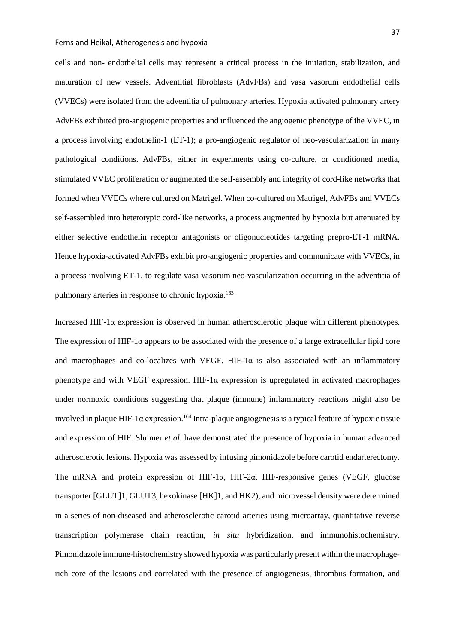cells and non- endothelial cells may represent a critical process in the initiation, stabilization, and maturation of new vessels. Adventitial fibroblasts (AdvFBs) and vasa vasorum endothelial cells (VVECs) were isolated from the adventitia of pulmonary arteries. Hypoxia activated pulmonary artery AdvFBs exhibited pro-angiogenic properties and influenced the angiogenic phenotype of the VVEC, in a process involving endothelin-1 (ET-1); a pro-angiogenic regulator of neo-vascularization in many pathological conditions. AdvFBs, either in experiments using co-culture, or conditioned media, stimulated VVEC proliferation or augmented the self-assembly and integrity of cord-like networks that formed when VVECs where cultured on Matrigel. When co-cultured on Matrigel, AdvFBs and VVECs self-assembled into heterotypic cord-like networks, a process augmented by hypoxia but attenuated by either selective endothelin receptor antagonists or oligonucleotides targeting prepro-ET-1 mRNA. Hence hypoxia-activated AdvFBs exhibit pro-angiogenic properties and communicate with VVECs, in a process involving ET-1, to regulate vasa vasorum neo-vascularization occurring in the adventitia of pulmonary arteries in response to chronic hypoxia.<sup>[163](#page-54-9)</sup>

Increased HIF-1 $\alpha$  expression is observed in human atherosclerotic plaque with different phenotypes. The expression of HIF-1 $\alpha$  appears to be associated with the presence of a large extracellular lipid core and macrophages and co-localizes with VEGF. HIF-1 $\alpha$  is also associated with an inflammatory phenotype and with VEGF expression. HIF-1 $\alpha$  expression is upregulated in activated macrophages under normoxic conditions suggesting that plaque (immune) inflammatory reactions might also be involved in plaque HIF-1α expression. [164](#page-55-0) Intra-plaque angiogenesis is a typical feature of hypoxic tissue and expression of HIF. Sluimer *et al.* have demonstrated the presence of hypoxia in human advanced atherosclerotic lesions. Hypoxia was assessed by infusing pimonidazole before carotid endarterectomy. The mRNA and protein expression of HIF-1α, HIF-2α, HIF-responsive genes (VEGF, glucose transporter [GLUT]1, GLUT3, hexokinase [HK]1, and HK2), and microvessel density were determined in a series of non-diseased and atherosclerotic carotid arteries using microarray, quantitative reverse transcription polymerase chain reaction, *in situ* hybridization, and immunohistochemistry. Pimonidazole immune-histochemistry showed hypoxia was particularly present within the macrophagerich core of the lesions and correlated with the presence of angiogenesis, thrombus formation, and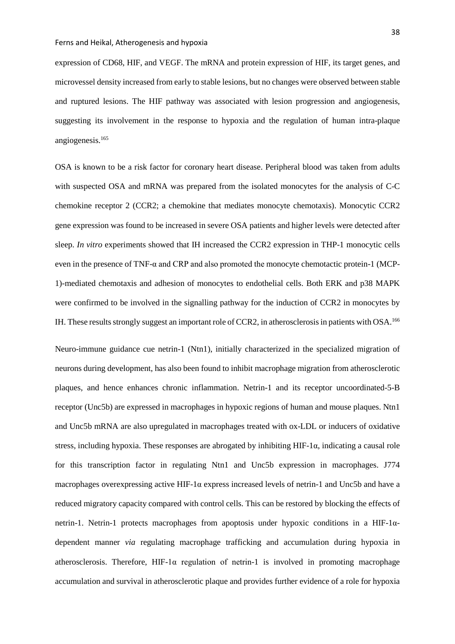expression of CD68, HIF, and VEGF. The mRNA and protein expression of HIF, its target genes, and microvessel density increased from early to stable lesions, but no changes were observed between stable and ruptured lesions. The HIF pathway was associated with lesion progression and angiogenesis, suggesting its involvement in the response to hypoxia and the regulation of human intra-plaque angiogenesis. [165](#page-55-1)

OSA is known to be a risk factor for coronary heart disease. Peripheral blood was taken from adults with suspected OSA and mRNA was prepared from the isolated monocytes for the analysis of C-C chemokine receptor 2 (CCR2; a chemokine that mediates monocyte chemotaxis). Monocytic CCR2 gene expression was found to be increased in severe OSA patients and higher levels were detected after sleep. *In vitro* experiments showed that IH increased the CCR2 expression in THP-1 monocytic cells even in the presence of TNF-α and CRP and also promoted the monocyte chemotactic protein-1 (MCP-1)-mediated chemotaxis and adhesion of monocytes to endothelial cells. Both ERK and p38 MAPK were confirmed to be involved in the signalling pathway for the induction of CCR2 in monocytes by IH. These results strongly suggest an important role of CCR2, in atherosclerosis in patients with OSA.<sup>166</sup>

Neuro-immune guidance cue netrin-1 (Ntn1), initially characterized in the specialized migration of neurons during development, has also been found to inhibit macrophage migration from atherosclerotic plaques, and hence enhances chronic inflammation. Netrin-1 and its receptor uncoordinated-5-B receptor (Unc5b) are expressed in macrophages in hypoxic regions of human and mouse plaques. Ntn1 and Unc5b mRNA are also upregulated in macrophages treated with ox-LDL or inducers of oxidative stress, including hypoxia. These responses are abrogated by inhibiting HIF-1α, indicating a causal role for this transcription factor in regulating Ntn1 and Unc5b expression in macrophages. J774 macrophages overexpressing active HIF-1α express increased levels of netrin-1 and Unc5b and have a reduced migratory capacity compared with control cells. This can be restored by blocking the effects of netrin-1. Netrin-1 protects macrophages from apoptosis under hypoxic conditions in a HIF-1αdependent manner *via* regulating macrophage trafficking and accumulation during hypoxia in atherosclerosis. Therefore,  $HIF-1\alpha$  regulation of netrin-1 is involved in promoting macrophage accumulation and survival in atherosclerotic plaque and provides further evidence of a role for hypoxia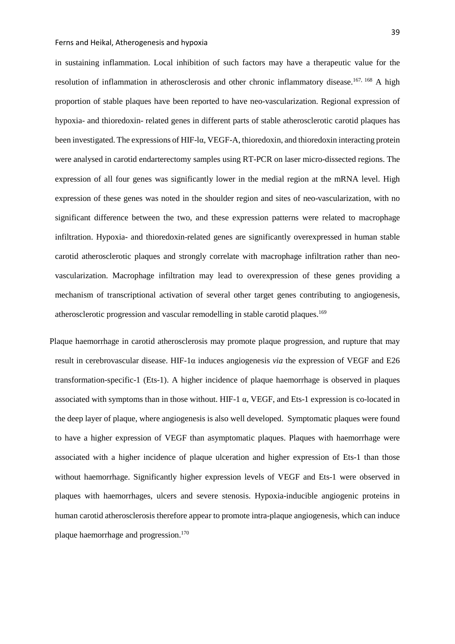in sustaining inflammation. Local inhibition of such factors may have a therapeutic value for the resolution of inflammation in atherosclerosis and other chronic inflammatory disease.<sup>[167,](#page-55-3) [168](#page-55-4)</sup> A high proportion of stable plaques have been reported to have neo-vascularization. Regional expression of hypoxia- and thioredoxin- related genes in different parts of stable atherosclerotic carotid plaques has been investigated. The expressions of HIF-lα, VEGF-A, thioredoxin, and thioredoxin interacting protein were analysed in carotid endarterectomy samples using RT-PCR on laser micro-dissected regions. The expression of all four genes was significantly lower in the medial region at the mRNA level. High expression of these genes was noted in the shoulder region and sites of neo-vascularization, with no significant difference between the two, and these expression patterns were related to macrophage infiltration. Hypoxia- and thioredoxin-related genes are significantly overexpressed in human stable carotid atherosclerotic plaques and strongly correlate with macrophage infiltration rather than neovascularization. Macrophage infiltration may lead to overexpression of these genes providing a mechanism of transcriptional activation of several other target genes contributing to angiogenesis, atherosclerotic progression and vascular remodelling in stable carotid plaques.<sup>[169](#page-55-5)</sup>

Plaque haemorrhage in carotid atherosclerosis may promote plaque progression, and rupture that may result in cerebrovascular disease. HIF-1α induces angiogenesis *via* the expression of VEGF and E26 transformation-specific-1 (Ets-1). A higher incidence of plaque haemorrhage is observed in plaques associated with symptoms than in those without. HIF-1  $\alpha$ , VEGF, and Ets-1 expression is co-located in the deep layer of plaque, where angiogenesis is also well developed. Symptomatic plaques were found to have a higher expression of VEGF than asymptomatic plaques. Plaques with haemorrhage were associated with a higher incidence of plaque ulceration and higher expression of Ets-1 than those without haemorrhage. Significantly higher expression levels of VEGF and Ets-1 were observed in plaques with haemorrhages, ulcers and severe stenosis. Hypoxia-inducible angiogenic proteins in human carotid atherosclerosis therefore appear to promote intra-plaque angiogenesis, which can induce plaque haemorrhage and progression[.170](#page-55-6)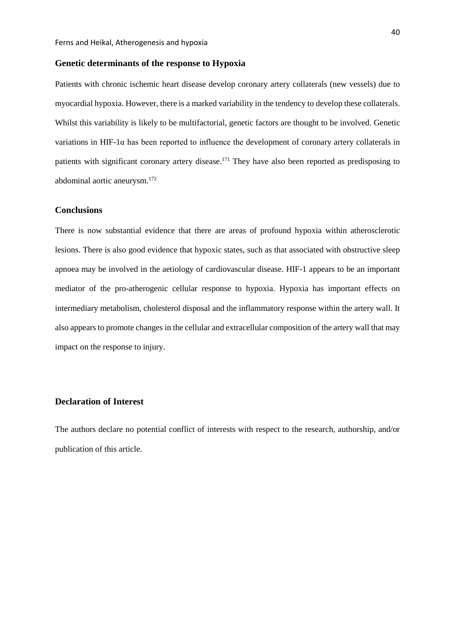## **Genetic determinants of the response to Hypoxia**

Patients with chronic ischemic heart disease develop coronary artery collaterals (new vessels) due to myocardial hypoxia. However, there is a marked variability in the tendency to develop these collaterals. Whilst this variability is likely to be multifactorial, genetic factors are thought to be involved. Genetic variations in HIF-1 $\alpha$  has been reported to influence the development of coronary artery collaterals in patients with significant coronary artery disease.<sup>171</sup> They have also been reported as predisposing to abdominal aortic aneurysm[.172](#page-55-8)

## **Conclusions**

There is now substantial evidence that there are areas of profound hypoxia within atherosclerotic lesions. There is also good evidence that hypoxic states, such as that associated with obstructive sleep apnoea may be involved in the aetiology of cardiovascular disease. HIF-1 appears to be an important mediator of the pro-atherogenic cellular response to hypoxia. Hypoxia has important effects on intermediary metabolism, cholesterol disposal and the inflammatory response within the artery wall. It also appears to promote changes in the cellular and extracellular composition of the artery wall that may impact on the response to injury.

# **Declaration of Interest**

The authors declare no potential conflict of interests with respect to the research, authorship, and/or publication of this article.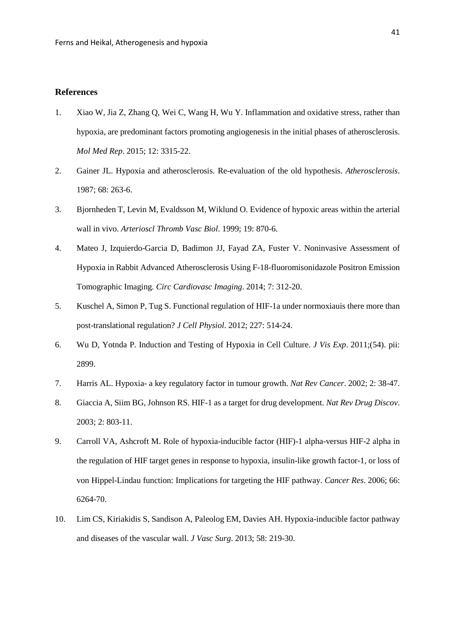# **References**

- <span id="page-40-0"></span>1. Xiao W, Jia Z, Zhang Q, Wei C, Wang H, Wu Y. Inflammation and oxidative stress, rather than hypoxia, are predominant factors promoting angiogenesis in the initial phases of atherosclerosis. *Mol Med Rep*. 2015; 12: 3315-22.
- <span id="page-40-1"></span>2. Gainer JL. Hypoxia and atherosclerosis. Re-evaluation of the old hypothesis. *Atherosclerosis*. 1987; 68: 263-6.
- <span id="page-40-2"></span>3. Bjornheden T, Levin M, Evaldsson M, Wiklund O. Evidence of hypoxic areas within the arterial wall in vivo. *Arterioscl Thromb Vasc Biol*. 1999; 19: 870-6.
- <span id="page-40-3"></span>4. Mateo J, Izquierdo-Garcia D, Badimon JJ, Fayad ZA, Fuster V. Noninvasive Assessment of Hypoxia in Rabbit Advanced Atherosclerosis Using F-18-fluoromisonidazole Positron Emission Tomographic Imaging. *Circ Cardiovasc Imaging*. 2014; 7: 312-20.
- <span id="page-40-4"></span>5. Kuschel A, Simon P, Tug S. Functional regulation of HIF-1a under normoxiauis there more than post-translational regulation? *J Cell Physiol*. 2012; 227: 514-24.
- <span id="page-40-5"></span>6. Wu D, Yotnda P. Induction and Testing of Hypoxia in Cell Culture. *J Vis Exp*. 2011;(54). pii: 2899.
- <span id="page-40-6"></span>7. Harris AL. Hypoxia- a key regulatory factor in tumour growth. *Nat Rev Cancer*. 2002; 2: 38-47.
- <span id="page-40-7"></span>8. Giaccia A, Siim BG, Johnson RS. HIF-1 as a target for drug development. *Nat Rev Drug Discov*. 2003; 2: 803-11.
- <span id="page-40-8"></span>9. Carroll VA, Ashcroft M. Role of hypoxia-inducible factor (HIF)-1 alpha-versus HIF-2 alpha in the regulation of HIF target genes in response to hypoxia, insulin-like growth factor-1, or loss of von Hippel-Lindau function: Implications for targeting the HIF pathway. *Cancer Res*. 2006; 66: 6264-70.
- <span id="page-40-9"></span>10. Lim CS, Kiriakidis S, Sandison A, Paleolog EM, Davies AH. Hypoxia-inducible factor pathway and diseases of the vascular wall. *J Vasc Surg*. 2013; 58: 219-30.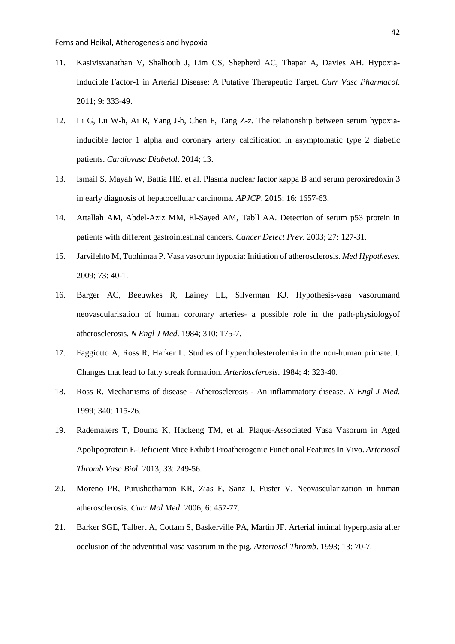- <span id="page-41-0"></span>11. Kasivisvanathan V, Shalhoub J, Lim CS, Shepherd AC, Thapar A, Davies AH. Hypoxia-Inducible Factor-1 in Arterial Disease: A Putative Therapeutic Target. *Curr Vasc Pharmacol*. 2011; 9: 333-49.
- <span id="page-41-1"></span>12. Li G, Lu W-h, Ai R, Yang J-h, Chen F, Tang Z-z. The relationship between serum hypoxiainducible factor 1 alpha and coronary artery calcification in asymptomatic type 2 diabetic patients. *Cardiovasc Diabetol*. 2014; 13.
- 13. Ismail S, Mayah W, Battia HE, et al. Plasma nuclear factor kappa B and serum peroxiredoxin 3 in early diagnosis of hepatocellular carcinoma. *APJCP*. 2015; 16: 1657-63.
- 14. Attallah AM, Abdel-Aziz MM, El-Sayed AM, Tabll AA. Detection of serum p53 protein in patients with different gastrointestinal cancers. *Cancer Detect Prev*. 2003; 27: 127-31.
- <span id="page-41-2"></span>15. Jarvilehto M, Tuohimaa P. Vasa vasorum hypoxia: Initiation of atherosclerosis. *Med Hypotheses*. 2009; 73: 40-1.
- <span id="page-41-3"></span>16. Barger AC, Beeuwkes R, Lainey LL, Silverman KJ. Hypothesis-vasa vasorumand neovascularisation of human coronary arteries- a possible role in the path-physiologyof atherosclerosis. *N Engl J Med*. 1984; 310: 175-7.
- <span id="page-41-4"></span>17. Faggiotto A, Ross R, Harker L. Studies of hypercholesterolemia in the non-human primate. I. Changes that lead to fatty streak formation. *Arteriosclerosis*. 1984; 4: 323-40.
- <span id="page-41-5"></span>18. Ross R. Mechanisms of disease - Atherosclerosis - An inflammatory disease. *N Engl J Med*. 1999; 340: 115-26.
- <span id="page-41-6"></span>19. Rademakers T, Douma K, Hackeng TM, et al. Plaque-Associated Vasa Vasorum in Aged Apolipoprotein E-Deficient Mice Exhibit Proatherogenic Functional Features In Vivo. *Arterioscl Thromb Vasc Biol*. 2013; 33: 249-56.
- <span id="page-41-7"></span>20. Moreno PR, Purushothaman KR, Zias E, Sanz J, Fuster V. Neovascularization in human atherosclerosis. *Curr Mol Med*. 2006; 6: 457-77.
- <span id="page-41-8"></span>21. Barker SGE, Talbert A, Cottam S, Baskerville PA, Martin JF. Arterial intimal hyperplasia after occlusion of the adventitial vasa vasorum in the pig. *Arterioscl Thromb*. 1993; 13: 70-7.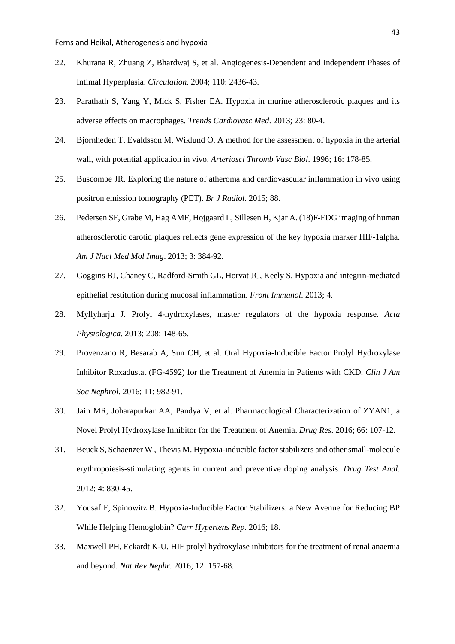- <span id="page-42-0"></span>22. Khurana R, Zhuang Z, Bhardwaj S, et al. Angiogenesis-Dependent and Independent Phases of Intimal Hyperplasia. *Circulation*. 2004; 110: 2436-43.
- <span id="page-42-1"></span>23. Parathath S, Yang Y, Mick S, Fisher EA. Hypoxia in murine atherosclerotic plaques and its adverse effects on macrophages. *Trends Cardiovasc Med*. 2013; 23: 80-4.
- <span id="page-42-2"></span>24. Bjornheden T, Evaldsson M, Wiklund O. A method for the assessment of hypoxia in the arterial wall, with potential application in vivo. *Arterioscl Thromb Vasc Biol*. 1996; 16: 178-85.
- <span id="page-42-3"></span>25. Buscombe JR. Exploring the nature of atheroma and cardiovascular inflammation in vivo using positron emission tomography (PET). *Br J Radiol*. 2015; 88.
- <span id="page-42-4"></span>26. Pedersen SF, Grabe M, Hag AMF, Hojgaard L, Sillesen H, Kjar A. (18)F-FDG imaging of human atherosclerotic carotid plaques reflects gene expression of the key hypoxia marker HIF-1alpha. *Am J Nucl Med Mol Imag*. 2013; 3: 384-92.
- <span id="page-42-5"></span>27. Goggins BJ, Chaney C, Radford-Smith GL, Horvat JC, Keely S. Hypoxia and integrin-mediated epithelial restitution during mucosal inflammation. *Front Immunol*. 2013; 4.
- <span id="page-42-6"></span>28. Myllyharju J. Prolyl 4-hydroxylases, master regulators of the hypoxia response. *Acta Physiologica*. 2013; 208: 148-65.
- <span id="page-42-7"></span>29. Provenzano R, Besarab A, Sun CH, et al. Oral Hypoxia-Inducible Factor Prolyl Hydroxylase Inhibitor Roxadustat (FG-4592) for the Treatment of Anemia in Patients with CKD. *Clin J Am Soc Nephrol*. 2016; 11: 982-91.
- <span id="page-42-8"></span>30. Jain MR, Joharapurkar AA, Pandya V, et al. Pharmacological Characterization of ZYAN1, a Novel Prolyl Hydroxylase Inhibitor for the Treatment of Anemia. *Drug Res*. 2016; 66: 107-12.
- <span id="page-42-9"></span>31. Beuck S, Schaenzer W , Thevis M. Hypoxia-inducible factor stabilizers and other small-molecule erythropoiesis-stimulating agents in current and preventive doping analysis. *Drug Test Anal*. 2012; 4: 830-45.
- <span id="page-42-10"></span>32. Yousaf F, Spinowitz B. Hypoxia-Inducible Factor Stabilizers: a New Avenue for Reducing BP While Helping Hemoglobin? *Curr Hypertens Rep*. 2016; 18.
- <span id="page-42-11"></span>33. Maxwell PH, Eckardt K-U. HIF prolyl hydroxylase inhibitors for the treatment of renal anaemia and beyond. *Nat Rev Nephr*. 2016; 12: 157-68.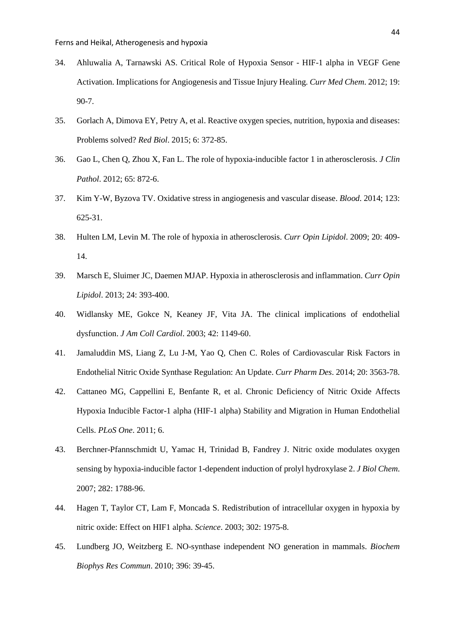- <span id="page-43-0"></span>34. Ahluwalia A, Tarnawski AS. Critical Role of Hypoxia Sensor - HIF-1 alpha in VEGF Gene Activation. Implications for Angiogenesis and Tissue Injury Healing. *Curr Med Chem*. 2012; 19: 90-7.
- <span id="page-43-1"></span>35. Gorlach A, Dimova EY, Petry A, et al. Reactive oxygen species, nutrition, hypoxia and diseases: Problems solved? *Red Biol*. 2015; 6: 372-85.
- <span id="page-43-2"></span>36. Gao L, Chen Q, Zhou X, Fan L. The role of hypoxia-inducible factor 1 in atherosclerosis. *J Clin Pathol*. 2012; 65: 872-6.
- <span id="page-43-3"></span>37. Kim Y-W, Byzova TV. Oxidative stress in angiogenesis and vascular disease. *Blood*. 2014; 123: 625-31.
- <span id="page-43-4"></span>38. Hulten LM, Levin M. The role of hypoxia in atherosclerosis. *Curr Opin Lipidol*. 2009; 20: 409- 14.
- <span id="page-43-5"></span>39. Marsch E, Sluimer JC, Daemen MJAP. Hypoxia in atherosclerosis and inflammation. *Curr Opin Lipidol*. 2013; 24: 393-400.
- <span id="page-43-6"></span>40. Widlansky ME, Gokce N, Keaney JF, Vita JA. The clinical implications of endothelial dysfunction. *J Am Coll Cardiol*. 2003; 42: 1149-60.
- <span id="page-43-7"></span>41. Jamaluddin MS, Liang Z, Lu J-M, Yao Q, Chen C. Roles of Cardiovascular Risk Factors in Endothelial Nitric Oxide Synthase Regulation: An Update. *Curr Pharm Des*. 2014; 20: 3563-78.
- <span id="page-43-8"></span>42. Cattaneo MG, Cappellini E, Benfante R, et al. Chronic Deficiency of Nitric Oxide Affects Hypoxia Inducible Factor-1 alpha (HIF-1 alpha) Stability and Migration in Human Endothelial Cells. *PLoS One*. 2011; 6.
- <span id="page-43-9"></span>43. Berchner-Pfannschmidt U, Yamac H, Trinidad B, Fandrey J. Nitric oxide modulates oxygen sensing by hypoxia-inducible factor 1-dependent induction of prolyl hydroxylase 2. *J Biol Chem*. 2007; 282: 1788-96.
- <span id="page-43-10"></span>44. Hagen T, Taylor CT, Lam F, Moncada S. Redistribution of intracellular oxygen in hypoxia by nitric oxide: Effect on HIF1 alpha. *Science*. 2003; 302: 1975-8.
- <span id="page-43-11"></span>45. Lundberg JO, Weitzberg E. NO-synthase independent NO generation in mammals. *Biochem Biophys Res Commun*. 2010; 396: 39-45.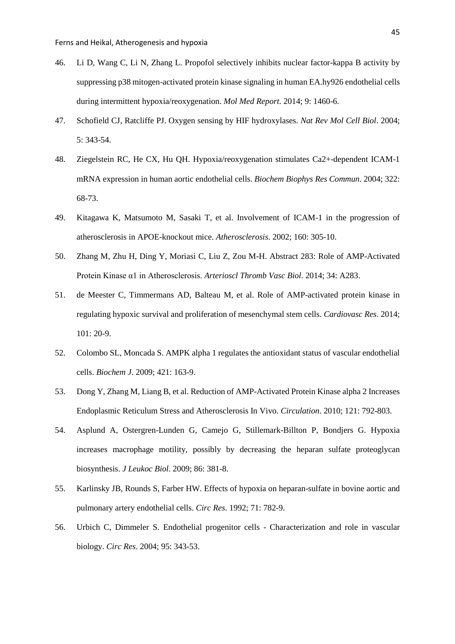- <span id="page-44-0"></span>46. Li D, Wang C, Li N, Zhang L. Propofol selectively inhibits nuclear factor-kappa B activity by suppressing p38 mitogen-activated protein kinase signaling in human EA.hy926 endothelial cells during intermittent hypoxia/reoxygenation. *Mol Med Report*. 2014; 9: 1460-6.
- <span id="page-44-1"></span>47. Schofield CJ, Ratcliffe PJ. Oxygen sensing by HIF hydroxylases. *Nat Rev Mol Cell Biol*. 2004; 5: 343-54.
- <span id="page-44-2"></span>48. Ziegelstein RC, He CX, Hu QH. Hypoxia/reoxygenation stimulates Ca2+-dependent ICAM-1 mRNA expression in human aortic endothelial cells. *Biochem Biophys Res Commun*. 2004; 322: 68-73.
- <span id="page-44-3"></span>49. Kitagawa K, Matsumoto M, Sasaki T, et al. Involvement of ICAM-1 in the progression of atherosclerosis in APOE-knockout mice. *Atherosclerosis*. 2002; 160: 305-10.
- <span id="page-44-4"></span>50. Zhang M, Zhu H, Ding Y, Moriasi C, Liu Z, Zou M-H. Abstract 283: Role of AMP-Activated Protein Kinase α1 in Atherosclerosis. *Arterioscl Thromb Vasc Biol*. 2014; 34: A283.
- <span id="page-44-5"></span>51. de Meester C, Timmermans AD, Balteau M, et al. Role of AMP-activated protein kinase in regulating hypoxic survival and proliferation of mesenchymal stem cells. *Cardiovasc Res*. 2014; 101: 20-9.
- <span id="page-44-6"></span>52. Colombo SL, Moncada S. AMPK alpha 1 regulates the antioxidant status of vascular endothelial cells. *Biochem J*. 2009; 421: 163-9.
- <span id="page-44-7"></span>53. Dong Y, Zhang M, Liang B, et al. Reduction of AMP-Activated Protein Kinase alpha 2 Increases Endoplasmic Reticulum Stress and Atherosclerosis In Vivo. *Circulation*. 2010; 121: 792-803.
- <span id="page-44-8"></span>54. Asplund A, Ostergren-Lunden G, Camejo G, Stillemark-Billton P, Bondjers G. Hypoxia increases macrophage motility, possibly by decreasing the heparan sulfate proteoglycan biosynthesis. *J Leukoc Biol*. 2009; 86: 381-8.
- <span id="page-44-9"></span>55. Karlinsky JB, Rounds S, Farber HW. Effects of hypoxia on heparan-sulfate in bovine aortic and pulmonary artery endothelial cells. *Circ Res*. 1992; 71: 782-9.
- <span id="page-44-10"></span>56. Urbich C, Dimmeler S. Endothelial progenitor cells - Characterization and role in vascular biology. *Circ Res*. 2004; 95: 343-53.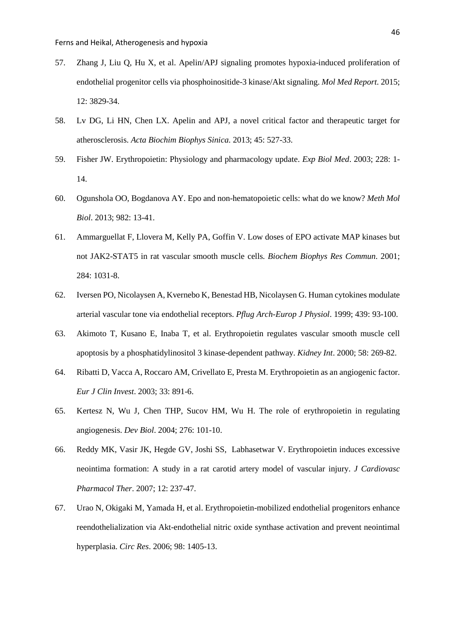- <span id="page-45-0"></span>57. Zhang J, Liu Q, Hu X, et al. Apelin/APJ signaling promotes hypoxia-induced proliferation of endothelial progenitor cells via phosphoinositide-3 kinase/Akt signaling. *Mol Med Report*. 2015; 12: 3829-34.
- <span id="page-45-1"></span>58. Lv DG, Li HN, Chen LX. Apelin and APJ, a novel critical factor and therapeutic target for atherosclerosis. *Acta Biochim Biophys Sinica*. 2013; 45: 527-33.
- <span id="page-45-2"></span>59. Fisher JW. Erythropoietin: Physiology and pharmacology update. *Exp Biol Med*. 2003; 228: 1- 14.
- <span id="page-45-3"></span>60. Ogunshola OO, Bogdanova AY. Epo and non-hematopoietic cells: what do we know? *Meth Mol Biol*. 2013; 982: 13-41.
- <span id="page-45-4"></span>61. Ammarguellat F, Llovera M, Kelly PA, Goffin V. Low doses of EPO activate MAP kinases but not JAK2-STAT5 in rat vascular smooth muscle cells. *Biochem Biophys Res Commun*. 2001; 284: 1031-8.
- <span id="page-45-5"></span>62. Iversen PO, Nicolaysen A, Kvernebo K, Benestad HB, Nicolaysen G. Human cytokines modulate arterial vascular tone via endothelial receptors. *Pflug Arch-Europ J Physiol*. 1999; 439: 93-100.
- <span id="page-45-6"></span>63. Akimoto T, Kusano E, Inaba T, et al. Erythropoietin regulates vascular smooth muscle cell apoptosis by a phosphatidylinositol 3 kinase-dependent pathway. *Kidney Int*. 2000; 58: 269-82.
- <span id="page-45-7"></span>64. Ribatti D, Vacca A, Roccaro AM, Crivellato E, Presta M. Erythropoietin as an angiogenic factor. *Eur J Clin Invest*. 2003; 33: 891-6.
- <span id="page-45-8"></span>65. Kertesz N, Wu J, Chen THP, Sucov HM, Wu H. The role of erythropoietin in regulating angiogenesis. *Dev Biol*. 2004; 276: 101-10.
- <span id="page-45-9"></span>66. Reddy MK, Vasir JK, Hegde GV, Joshi SS, Labhasetwar V. Erythropoietin induces excessive neointima formation: A study in a rat carotid artery model of vascular injury. *J Cardiovasc Pharmacol Ther*. 2007; 12: 237-47.
- <span id="page-45-10"></span>67. Urao N, Okigaki M, Yamada H, et al. Erythropoietin-mobilized endothelial progenitors enhance reendothelialization via Akt-endothelial nitric oxide synthase activation and prevent neointimal hyperplasia. *Circ Res*. 2006; 98: 1405-13.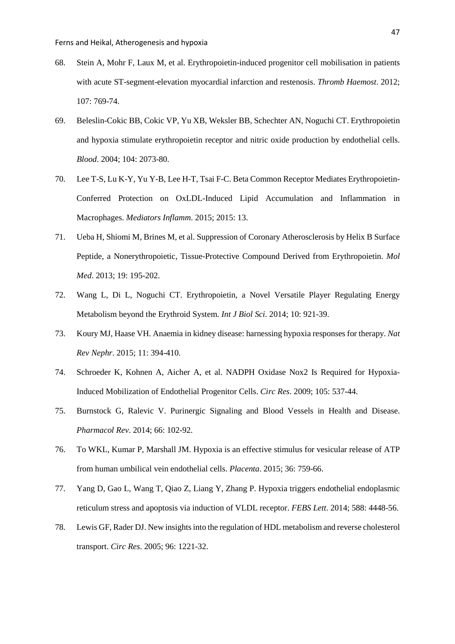- <span id="page-46-0"></span>68. Stein A, Mohr F, Laux M, et al. Erythropoietin-induced progenitor cell mobilisation in patients with acute ST-segment-elevation myocardial infarction and restenosis. *Thromb Haemost*. 2012; 107: 769-74.
- <span id="page-46-1"></span>69. Beleslin-Cokic BB, Cokic VP, Yu XB, Weksler BB, Schechter AN, Noguchi CT. Erythropoietin and hypoxia stimulate erythropoietin receptor and nitric oxide production by endothelial cells. *Blood*. 2004; 104: 2073-80.
- 70. Lee T-S, Lu K-Y, Yu Y-B, Lee H-T, Tsai F-C. Beta Common Receptor Mediates Erythropoietin-Conferred Protection on OxLDL-Induced Lipid Accumulation and Inflammation in Macrophages. *Mediators Inflamm*. 2015; 2015: 13.
- 71. Ueba H, Shiomi M, Brines M, et al. Suppression of Coronary Atherosclerosis by Helix B Surface Peptide, a Nonerythropoietic, Tissue-Protective Compound Derived from Erythropoietin. *Mol Med*. 2013; 19: 195-202.
- <span id="page-46-2"></span>72. Wang L, Di L, Noguchi CT. Erythropoietin, a Novel Versatile Player Regulating Energy Metabolism beyond the Erythroid System. *Int J Biol Sci*. 2014; 10: 921-39.
- <span id="page-46-3"></span>73. Koury MJ, Haase VH. Anaemia in kidney disease: harnessing hypoxia responses for therapy. *Nat Rev Nephr*. 2015; 11: 394-410.
- <span id="page-46-4"></span>74. Schroeder K, Kohnen A, Aicher A, et al. NADPH Oxidase Nox2 Is Required for Hypoxia-Induced Mobilization of Endothelial Progenitor Cells. *Circ Res*. 2009; 105: 537-44.
- <span id="page-46-5"></span>75. Burnstock G, Ralevic V. Purinergic Signaling and Blood Vessels in Health and Disease. *Pharmacol Rev*. 2014; 66: 102-92.
- <span id="page-46-6"></span>76. To WKL, Kumar P, Marshall JM. Hypoxia is an effective stimulus for vesicular release of ATP from human umbilical vein endothelial cells. *Placenta*. 2015; 36: 759-66.
- <span id="page-46-7"></span>77. Yang D, Gao L, Wang T, Qiao Z, Liang Y, Zhang P. Hypoxia triggers endothelial endoplasmic reticulum stress and apoptosis via induction of VLDL receptor. *FEBS Lett*. 2014; 588: 4448-56.
- <span id="page-46-8"></span>78. Lewis GF, Rader DJ. New insights into the regulation of HDL metabolism and reverse cholesterol transport. *Circ Res*. 2005; 96: 1221-32.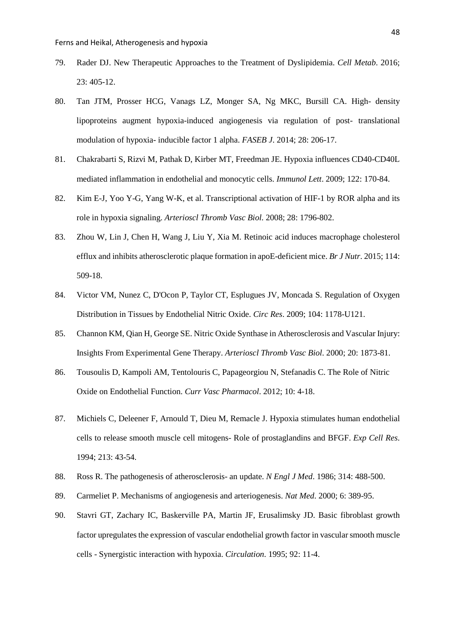- <span id="page-47-0"></span>79. Rader DJ. New Therapeutic Approaches to the Treatment of Dyslipidemia. *Cell Metab*. 2016; 23: 405-12.
- <span id="page-47-1"></span>80. Tan JTM, Prosser HCG, Vanags LZ, Monger SA, Ng MKC, Bursill CA. High- density lipoproteins augment hypoxia-induced angiogenesis via regulation of post- translational modulation of hypoxia- inducible factor 1 alpha. *FASEB J*. 2014; 28: 206-17.
- <span id="page-47-2"></span>81. Chakrabarti S, Rizvi M, Pathak D, Kirber MT, Freedman JE. Hypoxia influences CD40-CD40L mediated inflammation in endothelial and monocytic cells. *Immunol Lett*. 2009; 122: 170-84.
- <span id="page-47-3"></span>82. Kim E-J, Yoo Y-G, Yang W-K, et al. Transcriptional activation of HIF-1 by ROR alpha and its role in hypoxia signaling. *Arterioscl Thromb Vasc Biol*. 2008; 28: 1796-802.
- <span id="page-47-4"></span>83. Zhou W, Lin J, Chen H, Wang J, Liu Y, Xia M. Retinoic acid induces macrophage cholesterol efflux and inhibits atherosclerotic plaque formation in apoE-deficient mice. *Br J Nutr*. 2015; 114: 509-18.
- <span id="page-47-5"></span>84. Victor VM, Nunez C, D'Ocon P, Taylor CT, Esplugues JV, Moncada S. Regulation of Oxygen Distribution in Tissues by Endothelial Nitric Oxide. *Circ Res*. 2009; 104: 1178-U121.
- 85. Channon KM, Qian H, George SE. Nitric Oxide Synthase in Atherosclerosis and Vascular Injury: Insights From Experimental Gene Therapy. *Arterioscl Thromb Vasc Biol*. 2000; 20: 1873-81.
- 86. [Tousoulis D,](http://www.ncbi.nlm.nih.gov/pubmed/?term=Tousoulis%20D%5BAuthor%5D&cauthor=true&cauthor_uid=22112350) [Kampoli AM,](http://www.ncbi.nlm.nih.gov/pubmed/?term=Kampoli%20AM%5BAuthor%5D&cauthor=true&cauthor_uid=22112350) [Tentolouris C,](http://www.ncbi.nlm.nih.gov/pubmed/?term=Tentolouris%20C%5BAuthor%5D&cauthor=true&cauthor_uid=22112350) [Papageorgiou N,](http://www.ncbi.nlm.nih.gov/pubmed/?term=Papageorgiou%20N%5BAuthor%5D&cauthor=true&cauthor_uid=22112350) [Stefanadis C.](http://www.ncbi.nlm.nih.gov/pubmed/?term=Stefanadis%20C%5BAuthor%5D&cauthor=true&cauthor_uid=22112350) The Role of Nitric Oxide on Endothelial Function. *Curr Vasc Pharmacol*. 2012; 10: 4-18.
- <span id="page-47-6"></span>87. Michiels C, Deleener F, Arnould T, Dieu M, Remacle J. Hypoxia stimulates human endothelial cells to release smooth muscle cell mitogens- Role of prostaglandins and BFGF. *Exp Cell Res*. 1994; 213: 43-54.
- <span id="page-47-7"></span>88. Ross R. The pathogenesis of atherosclerosis- an update. *N Engl J Med*. 1986; 314: 488-500.
- <span id="page-47-8"></span>89. Carmeliet P. Mechanisms of angiogenesis and arteriogenesis. *Nat Med*. 2000; 6: 389-95.
- <span id="page-47-9"></span>90. Stavri GT, Zachary IC, Baskerville PA, Martin JF, Erusalimsky JD. Basic fibroblast growth factor upregulates the expression of vascular endothelial growth factor in vascular smooth muscle cells - Synergistic interaction with hypoxia. *Circulation*. 1995; 92: 11-4.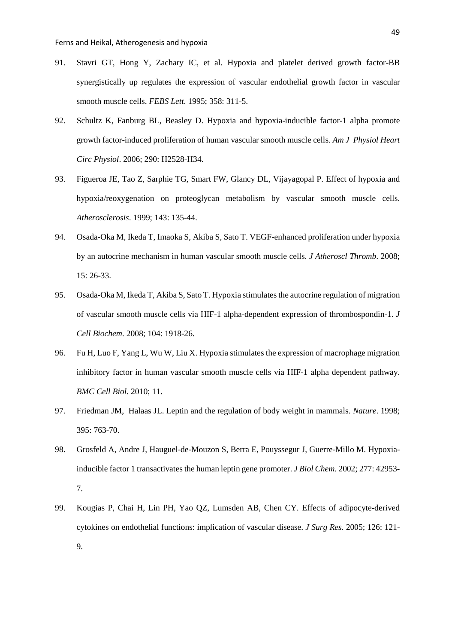9.

- <span id="page-48-0"></span>91. Stavri GT, Hong Y, Zachary IC, et al. Hypoxia and platelet derived growth factor-BB synergistically up regulates the expression of vascular endothelial growth factor in vascular smooth muscle cells. *FEBS Lett*. 1995; 358: 311-5.
- <span id="page-48-1"></span>92. Schultz K, Fanburg BL, Beasley D. Hypoxia and hypoxia-inducible factor-1 alpha promote growth factor-induced proliferation of human vascular smooth muscle cells. *Am J Physiol Heart Circ Physiol*. 2006; 290: H2528-H34.
- <span id="page-48-2"></span>93. Figueroa JE, Tao Z, Sarphie TG, Smart FW, Glancy DL, Vijayagopal P. Effect of hypoxia and hypoxia/reoxygenation on proteoglycan metabolism by vascular smooth muscle cells. *Atherosclerosis*. 1999; 143: 135-44.
- <span id="page-48-3"></span>94. Osada-Oka M, Ikeda T, Imaoka S, Akiba S, Sato T. VEGF-enhanced proliferation under hypoxia by an autocrine mechanism in human vascular smooth muscle cells. *J Atheroscl Thromb*. 2008; 15: 26-33.
- <span id="page-48-4"></span>95. Osada-Oka M, Ikeda T, Akiba S, Sato T. Hypoxia stimulates the autocrine regulation of migration of vascular smooth muscle cells via HIF-1 alpha-dependent expression of thrombospondin-1. *J Cell Biochem*. 2008; 104: 1918-26.
- <span id="page-48-5"></span>96. Fu H, Luo F, Yang L, Wu W, Liu X. Hypoxia stimulates the expression of macrophage migration inhibitory factor in human vascular smooth muscle cells via HIF-1 alpha dependent pathway. *BMC Cell Biol*. 2010; 11.
- <span id="page-48-6"></span>97. Friedman JM, Halaas JL. Leptin and the regulation of body weight in mammals. *Nature*. 1998; 395: 763-70.
- <span id="page-48-7"></span>98. Grosfeld A, Andre J, Hauguel-de-Mouzon S, Berra E, Pouyssegur J, Guerre-Millo M. Hypoxiainducible factor 1 transactivates the human leptin gene promoter. *J Biol Chem*. 2002; 277: 42953- 7.
- <span id="page-48-8"></span>99. Kougias P, Chai H, Lin PH, Yao QZ, Lumsden AB, Chen CY. Effects of adipocyte-derived cytokines on endothelial functions: implication of vascular disease. *J Surg Res*. 2005; 126: 121-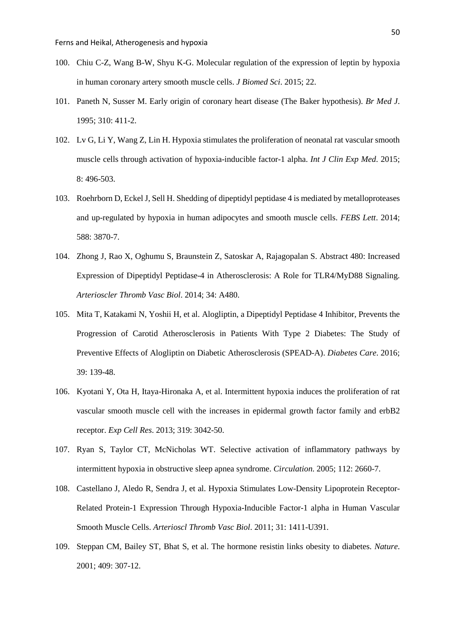- <span id="page-49-0"></span>100. Chiu C-Z, Wang B-W, Shyu K-G. Molecular regulation of the expression of leptin by hypoxia in human coronary artery smooth muscle cells. *J Biomed Sci*. 2015; 22.
- <span id="page-49-1"></span>101. Paneth N, Susser M. Early origin of coronary heart disease (The Baker hypothesis). *Br Med J*. 1995; 310: 411-2.
- <span id="page-49-2"></span>102. Lv G, Li Y, Wang Z, Lin H. Hypoxia stimulates the proliferation of neonatal rat vascular smooth muscle cells through activation of hypoxia-inducible factor-1 alpha. *Int J Clin Exp Med*. 2015; 8: 496-503.
- <span id="page-49-3"></span>103. Roehrborn D, Eckel J, Sell H. Shedding of dipeptidyl peptidase 4 is mediated by metalloproteases and up-regulated by hypoxia in human adipocytes and smooth muscle cells. *FEBS Lett*. 2014; 588: 3870-7.
- <span id="page-49-4"></span>104. Zhong J, Rao X, Oghumu S, Braunstein Z, Satoskar A, Rajagopalan S. Abstract 480: Increased Expression of Dipeptidyl Peptidase-4 in Atherosclerosis: A Role for TLR4/MyD88 Signaling. *Arterioscler Thromb Vasc Biol*. 2014; 34: A480.
- <span id="page-49-5"></span>105. Mita T, Katakami N, Yoshii H, et al. Alogliptin, a Dipeptidyl Peptidase 4 Inhibitor, Prevents the Progression of Carotid Atherosclerosis in Patients With Type 2 Diabetes: The Study of Preventive Effects of Alogliptin on Diabetic Atherosclerosis (SPEAD-A). *Diabetes Care*. 2016; 39: 139-48.
- <span id="page-49-6"></span>106. Kyotani Y, Ota H, Itaya-Hironaka A, et al. Intermittent hypoxia induces the proliferation of rat vascular smooth muscle cell with the increases in epidermal growth factor family and erbB2 receptor. *Exp Cell Res*. 2013; 319: 3042-50.
- <span id="page-49-7"></span>107. Ryan S, Taylor CT, McNicholas WT. Selective activation of inflammatory pathways by intermittent hypoxia in obstructive sleep apnea syndrome. *Circulation*. 2005; 112: 2660-7.
- <span id="page-49-8"></span>108. Castellano J, Aledo R, Sendra J, et al. Hypoxia Stimulates Low-Density Lipoprotein Receptor-Related Protein-1 Expression Through Hypoxia-Inducible Factor-1 alpha in Human Vascular Smooth Muscle Cells. *Arterioscl Thromb Vasc Biol*. 2011; 31: 1411-U391.
- <span id="page-49-9"></span>109. Steppan CM, Bailey ST, Bhat S, et al. The hormone resistin links obesity to diabetes. *Nature*. 2001; 409: 307-12.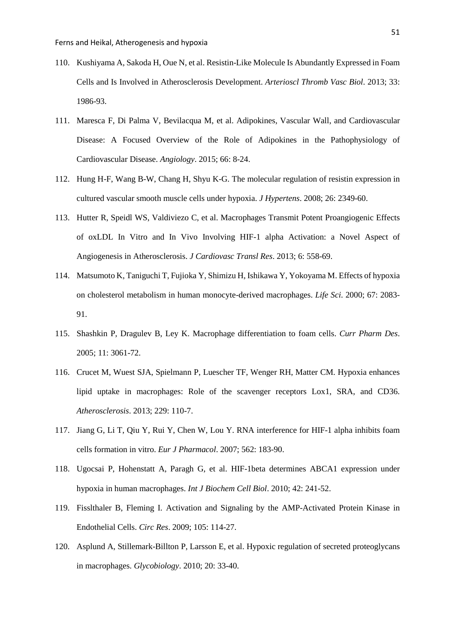- <span id="page-50-0"></span>110. Kushiyama A, Sakoda H, Oue N, et al. Resistin-Like Molecule Is Abundantly Expressed in Foam Cells and Is Involved in Atherosclerosis Development. *Arterioscl Thromb Vasc Biol*. 2013; 33: 1986-93.
- <span id="page-50-1"></span>111. Maresca F, Di Palma V, Bevilacqua M, et al. Adipokines, Vascular Wall, and Cardiovascular Disease: A Focused Overview of the Role of Adipokines in the Pathophysiology of Cardiovascular Disease. *Angiology*. 2015; 66: 8-24.
- <span id="page-50-2"></span>112. Hung H-F, Wang B-W, Chang H, Shyu K-G. The molecular regulation of resistin expression in cultured vascular smooth muscle cells under hypoxia. *J Hypertens*. 2008; 26: 2349-60.
- <span id="page-50-3"></span>113. Hutter R, Speidl WS, Valdiviezo C, et al. Macrophages Transmit Potent Proangiogenic Effects of oxLDL In Vitro and In Vivo Involving HIF-1 alpha Activation: a Novel Aspect of Angiogenesis in Atherosclerosis. *J Cardiovasc Transl Res*. 2013; 6: 558-69.
- <span id="page-50-4"></span>114. Matsumoto K, Taniguchi T, Fujioka Y, Shimizu H, Ishikawa Y, Yokoyama M. Effects of hypoxia on cholesterol metabolism in human monocyte-derived macrophages. *Life Sci*. 2000; 67: 2083- 91.
- <span id="page-50-5"></span>115. Shashkin P, Dragulev B, Ley K. Macrophage differentiation to foam cells. *Curr Pharm Des*. 2005; 11: 3061-72.
- <span id="page-50-6"></span>116. Crucet M, Wuest SJA, Spielmann P, Luescher TF, Wenger RH, Matter CM. Hypoxia enhances lipid uptake in macrophages: Role of the scavenger receptors Lox1, SRA, and CD36. *Atherosclerosis*. 2013; 229: 110-7.
- <span id="page-50-7"></span>117. Jiang G, Li T, Qiu Y, Rui Y, Chen W, Lou Y. RNA interference for HIF-1 alpha inhibits foam cells formation in vitro. *Eur J Pharmacol*. 2007; 562: 183-90.
- <span id="page-50-8"></span>118. Ugocsai P, Hohenstatt A, Paragh G, et al. HIF-1beta determines ABCA1 expression under hypoxia in human macrophages. *Int J Biochem Cell Biol*. 2010; 42: 241-52.
- <span id="page-50-9"></span>119. Fisslthaler B, Fleming I. Activation and Signaling by the AMP-Activated Protein Kinase in Endothelial Cells. *Circ Res*. 2009; 105: 114-27.
- <span id="page-50-10"></span>120. Asplund A, Stillemark-Billton P, Larsson E, et al. Hypoxic regulation of secreted proteoglycans in macrophages. *Glycobiology*. 2010; 20: 33-40.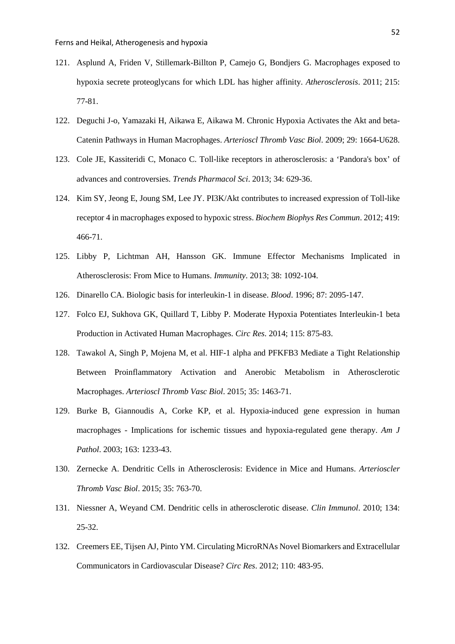- <span id="page-51-0"></span>121. Asplund A, Friden V, Stillemark-Billton P, Camejo G, Bondjers G. Macrophages exposed to hypoxia secrete proteoglycans for which LDL has higher affinity. *Atherosclerosis*. 2011; 215: 77-81.
- <span id="page-51-1"></span>122. Deguchi J-o, Yamazaki H, Aikawa E, Aikawa M. Chronic Hypoxia Activates the Akt and beta-Catenin Pathways in Human Macrophages. *Arterioscl Thromb Vasc Biol*. 2009; 29: 1664-U628.
- <span id="page-51-2"></span>123. Cole JE, Kassiteridi C, Monaco C. Toll-like receptors in atherosclerosis: a 'Pandora's box' of advances and controversies. *Trends Pharmacol Sci*. 2013; 34: 629-36.
- <span id="page-51-3"></span>124. Kim SY, Jeong E, Joung SM, Lee JY. PI3K/Akt contributes to increased expression of Toll-like receptor 4 in macrophages exposed to hypoxic stress. *Biochem Biophys Res Commun*. 2012; 419: 466-71.
- <span id="page-51-4"></span>125. Libby P, Lichtman AH, Hansson GK. Immune Effector Mechanisms Implicated in Atherosclerosis: From Mice to Humans. *Immunity*. 2013; 38: 1092-104.
- <span id="page-51-5"></span>126. Dinarello CA. Biologic basis for interleukin-1 in disease. *Blood*. 1996; 87: 2095-147.
- <span id="page-51-6"></span>127. Folco EJ, Sukhova GK, Quillard T, Libby P. Moderate Hypoxia Potentiates Interleukin-1 beta Production in Activated Human Macrophages. *Circ Res*. 2014; 115: 875-83.
- <span id="page-51-7"></span>128. Tawakol A, Singh P, Mojena M, et al. HIF-1 alpha and PFKFB3 Mediate a Tight Relationship Between Proinflammatory Activation and Anerobic Metabolism in Atherosclerotic Macrophages. *Arterioscl Thromb Vasc Biol*. 2015; 35: 1463-71.
- <span id="page-51-8"></span>129. Burke B, Giannoudis A, Corke KP, et al. Hypoxia-induced gene expression in human macrophages - Implications for ischemic tissues and hypoxia-regulated gene therapy. *Am J Pathol*. 2003; 163: 1233-43.
- <span id="page-51-9"></span>130. Zernecke A. Dendritic Cells in Atherosclerosis: Evidence in Mice and Humans. *Arterioscler Thromb Vasc Biol*. 2015; 35: 763-70.
- <span id="page-51-10"></span>131. Niessner A, Weyand CM. Dendritic cells in atherosclerotic disease. *Clin Immunol*. 2010; 134: 25-32.
- <span id="page-51-11"></span>132. Creemers EE, Tijsen AJ, Pinto YM. Circulating MicroRNAs Novel Biomarkers and Extracellular Communicators in Cardiovascular Disease? *Circ Res*. 2012; 110: 483-95.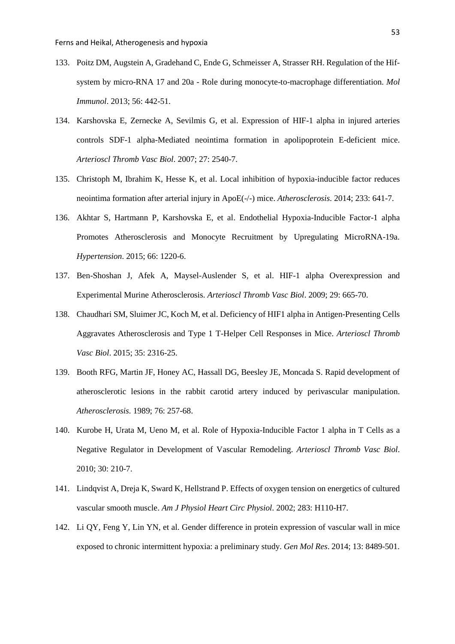- <span id="page-52-0"></span>133. Poitz DM, Augstein A, Gradehand C, Ende G, Schmeisser A, Strasser RH. Regulation of the Hifsystem by micro-RNA 17 and 20a - Role during monocyte-to-macrophage differentiation. *Mol Immunol*. 2013; 56: 442-51.
- <span id="page-52-1"></span>134. Karshovska E, Zernecke A, Sevilmis G, et al. Expression of HIF-1 alpha in injured arteries controls SDF-1 alpha-Mediated neointima formation in apolipoprotein E-deficient mice. *Arterioscl Thromb Vasc Biol*. 2007; 27: 2540-7.
- <span id="page-52-2"></span>135. Christoph M, Ibrahim K, Hesse K, et al. Local inhibition of hypoxia-inducible factor reduces neointima formation after arterial injury in ApoE(-/-) mice. *Atherosclerosis*. 2014; 233: 641-7.
- <span id="page-52-3"></span>136. Akhtar S, Hartmann P, Karshovska E, et al. Endothelial Hypoxia-Inducible Factor-1 alpha Promotes Atherosclerosis and Monocyte Recruitment by Upregulating MicroRNA-19a. *Hypertension*. 2015; 66: 1220-6.
- <span id="page-52-4"></span>137. Ben-Shoshan J, Afek A, Maysel-Auslender S, et al. HIF-1 alpha Overexpression and Experimental Murine Atherosclerosis. *Arterioscl Thromb Vasc Biol*. 2009; 29: 665-70.
- <span id="page-52-5"></span>138. Chaudhari SM, Sluimer JC, Koch M, et al. Deficiency of HIF1 alpha in Antigen-Presenting Cells Aggravates Atherosclerosis and Type 1 T-Helper Cell Responses in Mice. *Arterioscl Thromb Vasc Biol*. 2015; 35: 2316-25.
- <span id="page-52-6"></span>139. Booth RFG, Martin JF, Honey AC, Hassall DG, Beesley JE, Moncada S. Rapid development of atherosclerotic lesions in the rabbit carotid artery induced by perivascular manipulation. *Atherosclerosis*. 1989; 76: 257-68.
- <span id="page-52-7"></span>140. Kurobe H, Urata M, Ueno M, et al. Role of Hypoxia-Inducible Factor 1 alpha in T Cells as a Negative Regulator in Development of Vascular Remodeling. *Arterioscl Thromb Vasc Biol*. 2010; 30: 210-7.
- <span id="page-52-8"></span>141. Lindqvist A, Dreja K, Sward K, Hellstrand P. Effects of oxygen tension on energetics of cultured vascular smooth muscle. *Am J Physiol Heart Circ Physiol*. 2002; 283: H110-H7.
- <span id="page-52-9"></span>142. Li QY, Feng Y, Lin YN, et al. Gender difference in protein expression of vascular wall in mice exposed to chronic intermittent hypoxia: a preliminary study. *Gen Mol Res*. 2014; 13: 8489-501.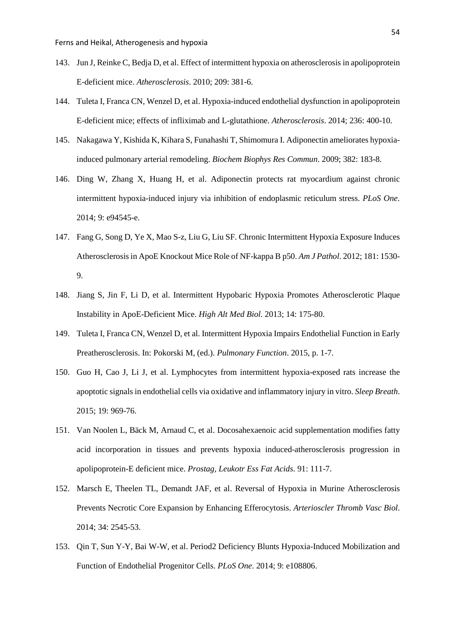- <span id="page-53-0"></span>143. Jun J, Reinke C, Bedja D, et al. Effect of intermittent hypoxia on atherosclerosis in apolipoprotein E-deficient mice. *Atherosclerosis*. 2010; 209: 381-6.
- <span id="page-53-1"></span>144. Tuleta I, Franca CN, Wenzel D, et al. Hypoxia-induced endothelial dysfunction in apolipoprotein E-deficient mice; effects of infliximab and L-glutathione. *Atherosclerosis*. 2014; 236: 400-10.
- <span id="page-53-2"></span>145. Nakagawa Y, Kishida K, Kihara S, Funahashi T, Shimomura I. Adiponectin ameliorates hypoxiainduced pulmonary arterial remodeling. *Biochem Biophys Res Commun*. 2009; 382: 183-8.
- <span id="page-53-3"></span>146. Ding W, Zhang X, Huang H, et al. Adiponectin protects rat myocardium against chronic intermittent hypoxia-induced injury via inhibition of endoplasmic reticulum stress. *PLoS One*. 2014; 9: e94545-e.
- <span id="page-53-4"></span>147. Fang G, Song D, Ye X, Mao S-z, Liu G, Liu SF. Chronic Intermittent Hypoxia Exposure Induces Atherosclerosis in ApoE Knockout Mice Role of NF-kappa B p50. *Am J Pathol*. 2012; 181: 1530- 9.
- <span id="page-53-5"></span>148. Jiang S, Jin F, Li D, et al. Intermittent Hypobaric Hypoxia Promotes Atherosclerotic Plaque Instability in ApoE-Deficient Mice. *High Alt Med Biol*. 2013; 14: 175-80.
- <span id="page-53-6"></span>149. Tuleta I, Franca CN, Wenzel D, et al. Intermittent Hypoxia Impairs Endothelial Function in Early Preatherosclerosis. In: Pokorski M, (ed.). *Pulmonary Function*. 2015, p. 1-7.
- <span id="page-53-7"></span>150. Guo H, Cao J, Li J, et al. Lymphocytes from intermittent hypoxia-exposed rats increase the apoptotic signals in endothelial cells via oxidative and inflammatory injury in vitro. *Sleep Breath*. 2015; 19: 969-76.
- <span id="page-53-8"></span>151. Van Noolen L, Bäck M, Arnaud C, et al. Docosahexaenoic acid supplementation modifies fatty acid incorporation in tissues and prevents hypoxia induced-atherosclerosis progression in apolipoprotein-E deficient mice. *Prostag, Leukotr Ess Fat Acids*. 91: 111-7.
- <span id="page-53-9"></span>152. Marsch E, Theelen TL, Demandt JAF, et al. Reversal of Hypoxia in Murine Atherosclerosis Prevents Necrotic Core Expansion by Enhancing Efferocytosis. *Arterioscler Thromb Vasc Biol*. 2014; 34: 2545-53.
- <span id="page-53-10"></span>153. Qin T, Sun Y-Y, Bai W-W, et al. Period2 Deficiency Blunts Hypoxia-Induced Mobilization and Function of Endothelial Progenitor Cells. *PLoS One*. 2014; 9: e108806.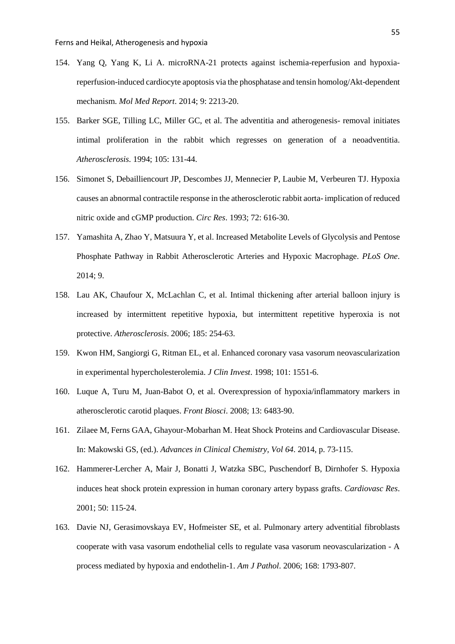- <span id="page-54-0"></span>154. Yang Q, Yang K, Li A. microRNA-21 protects against ischemia-reperfusion and hypoxiareperfusion-induced cardiocyte apoptosis via the phosphatase and tensin homolog/Akt-dependent mechanism. *Mol Med Report*. 2014; 9: 2213-20.
- <span id="page-54-1"></span>155. Barker SGE, Tilling LC, Miller GC, et al. The adventitia and atherogenesis- removal initiates intimal proliferation in the rabbit which regresses on generation of a neoadventitia. *Atherosclerosis*. 1994; 105: 131-44.
- <span id="page-54-2"></span>156. Simonet S, Debailliencourt JP, Descombes JJ, Mennecier P, Laubie M, Verbeuren TJ. Hypoxia causes an abnormal contractile response in the atherosclerotic rabbit aorta- implication of reduced nitric oxide and cGMP production. *Circ Res*. 1993; 72: 616-30.
- <span id="page-54-3"></span>157. Yamashita A, Zhao Y, Matsuura Y, et al. Increased Metabolite Levels of Glycolysis and Pentose Phosphate Pathway in Rabbit Atherosclerotic Arteries and Hypoxic Macrophage. *PLoS One*. 2014; 9.
- <span id="page-54-4"></span>158. Lau AK, Chaufour X, McLachlan C, et al. Intimal thickening after arterial balloon injury is increased by intermittent repetitive hypoxia, but intermittent repetitive hyperoxia is not protective. *Atherosclerosis*. 2006; 185: 254-63.
- <span id="page-54-5"></span>159. Kwon HM, Sangiorgi G, Ritman EL, et al. Enhanced coronary vasa vasorum neovascularization in experimental hypercholesterolemia. *J Clin Invest*. 1998; 101: 1551-6.
- <span id="page-54-6"></span>160. Luque A, Turu M, Juan-Babot O, et al. Overexpression of hypoxia/inflammatory markers in atherosclerotic carotid plaques. *Front Biosci*. 2008; 13: 6483-90.
- <span id="page-54-7"></span>161. Zilaee M, Ferns GAA, Ghayour-Mobarhan M. Heat Shock Proteins and Cardiovascular Disease. In: Makowski GS, (ed.). *Advances in Clinical Chemistry, Vol 64*. 2014, p. 73-115.
- <span id="page-54-8"></span>162. Hammerer-Lercher A, Mair J, Bonatti J, Watzka SBC, Puschendorf B, Dirnhofer S. Hypoxia induces heat shock protein expression in human coronary artery bypass grafts. *Cardiovasc Res*. 2001; 50: 115-24.
- <span id="page-54-9"></span>163. Davie NJ, Gerasimovskaya EV, Hofmeister SE, et al. Pulmonary artery adventitial fibroblasts cooperate with vasa vasorum endothelial cells to regulate vasa vasorum neovascularization - A process mediated by hypoxia and endothelin-1. *Am J Pathol*. 2006; 168: 1793-807.